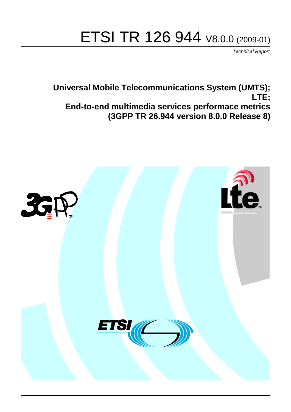# ETSI TR 126 944 V8.0.0 (2009-01)

*Technical Report*

**Universal Mobile Telecommunications System (UMTS); LTE; End-to-end multimedia services performace metrics (3GPP TR 26.944 version 8.0.0 Release 8)**

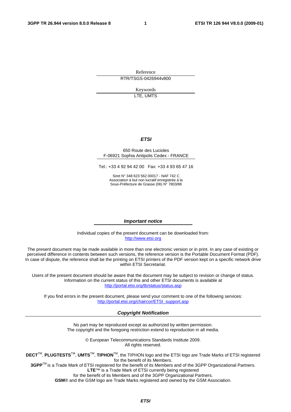Reference RTR/TSGS-0426944v800

> Keywords LTE, UMTS

#### *ETSI*

#### 650 Route des Lucioles F-06921 Sophia Antipolis Cedex - FRANCE

Tel.: +33 4 92 94 42 00 Fax: +33 4 93 65 47 16

Siret N° 348 623 562 00017 - NAF 742 C Association à but non lucratif enregistrée à la Sous-Préfecture de Grasse (06) N° 7803/88

#### *Important notice*

Individual copies of the present document can be downloaded from: [http://www.etsi.org](http://www.etsi.org/)

The present document may be made available in more than one electronic version or in print. In any case of existing or perceived difference in contents between such versions, the reference version is the Portable Document Format (PDF). In case of dispute, the reference shall be the printing on ETSI printers of the PDF version kept on a specific network drive within ETSI Secretariat.

Users of the present document should be aware that the document may be subject to revision or change of status. Information on the current status of this and other ETSI documents is available at <http://portal.etsi.org/tb/status/status.asp>

If you find errors in the present document, please send your comment to one of the following services: [http://portal.etsi.org/chaircor/ETSI\\_support.asp](http://portal.etsi.org/chaircor/ETSI_support.asp)

#### *Copyright Notification*

No part may be reproduced except as authorized by written permission. The copyright and the foregoing restriction extend to reproduction in all media.

> © European Telecommunications Standards Institute 2009. All rights reserved.

**DECT**TM, **PLUGTESTS**TM, **UMTS**TM, **TIPHON**TM, the TIPHON logo and the ETSI logo are Trade Marks of ETSI registered for the benefit of its Members.

**3GPP**TM is a Trade Mark of ETSI registered for the benefit of its Members and of the 3GPP Organizational Partners. **LTE**™ is a Trade Mark of ETSI currently being registered

for the benefit of its Members and of the 3GPP Organizational Partners.

**GSM**® and the GSM logo are Trade Marks registered and owned by the GSM Association.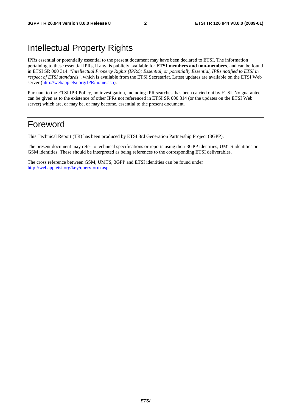## Intellectual Property Rights

IPRs essential or potentially essential to the present document may have been declared to ETSI. The information pertaining to these essential IPRs, if any, is publicly available for **ETSI members and non-members**, and can be found in ETSI SR 000 314: *"Intellectual Property Rights (IPRs); Essential, or potentially Essential, IPRs notified to ETSI in respect of ETSI standards"*, which is available from the ETSI Secretariat. Latest updates are available on the ETSI Web server ([http://webapp.etsi.org/IPR/home.asp\)](http://webapp.etsi.org/IPR/home.asp).

Pursuant to the ETSI IPR Policy, no investigation, including IPR searches, has been carried out by ETSI. No guarantee can be given as to the existence of other IPRs not referenced in ETSI SR 000 314 (or the updates on the ETSI Web server) which are, or may be, or may become, essential to the present document.

## Foreword

This Technical Report (TR) has been produced by ETSI 3rd Generation Partnership Project (3GPP).

The present document may refer to technical specifications or reports using their 3GPP identities, UMTS identities or GSM identities. These should be interpreted as being references to the corresponding ETSI deliverables.

The cross reference between GSM, UMTS, 3GPP and ETSI identities can be found under [http://webapp.etsi.org/key/queryform.asp.](http://webapp.etsi.org/key/queryform.asp)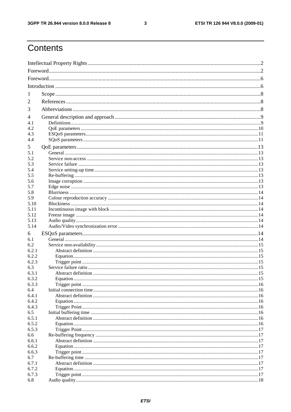#### $\mathbf{3}$

## Contents

| 1            |  |  |  |
|--------------|--|--|--|
| 2            |  |  |  |
|              |  |  |  |
| 3            |  |  |  |
| 4            |  |  |  |
| 4.1          |  |  |  |
| 4.2          |  |  |  |
| 4.3<br>4.4   |  |  |  |
|              |  |  |  |
| 5            |  |  |  |
| 5.1<br>5.2   |  |  |  |
| 5.3          |  |  |  |
| 5.4          |  |  |  |
| 5.5          |  |  |  |
| 5.6          |  |  |  |
| 5.7          |  |  |  |
| 5.8          |  |  |  |
| 5.9          |  |  |  |
| 5.10         |  |  |  |
| 5.11         |  |  |  |
| 5.12         |  |  |  |
| 5.13         |  |  |  |
| 5.14         |  |  |  |
| 6            |  |  |  |
| 6.1          |  |  |  |
| 6.2<br>6.2.1 |  |  |  |
| 6.2.2        |  |  |  |
| 6.2.3        |  |  |  |
| 6.3          |  |  |  |
| 6.3.1        |  |  |  |
| 6.3.2        |  |  |  |
| 6.3.3        |  |  |  |
| 6.4          |  |  |  |
| 6.4.1        |  |  |  |
|              |  |  |  |
| 6.4.2        |  |  |  |
| 6.4.3        |  |  |  |
| 6.5          |  |  |  |
| 6.5.1        |  |  |  |
| 6.5.2        |  |  |  |
| 6.5.3<br>6.6 |  |  |  |
| 6.6.1        |  |  |  |
| 6.6.2        |  |  |  |
| 6.6.3        |  |  |  |
| 6.7          |  |  |  |
| 6.7.1        |  |  |  |
| 6.7.2        |  |  |  |
| 6.7.3<br>6.8 |  |  |  |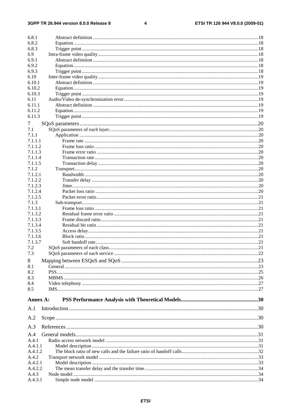#### $\overline{\mathbf{4}}$

| 6.8.1            |  |
|------------------|--|
| 6.8.2            |  |
| 6.8.3            |  |
| 6.9              |  |
| 6.9.1            |  |
| 6.9.2            |  |
| 6.9.3            |  |
|                  |  |
| 6.10<br>6.10.1   |  |
| 6.10.2           |  |
| 6.10.3           |  |
|                  |  |
| 6.11             |  |
| 6.11.1           |  |
| 6.11.2           |  |
| 6.11.3           |  |
| 7                |  |
| 7.1              |  |
| 7.1.1            |  |
| 7.1.1.1          |  |
| 7.1.1.2          |  |
| 7.1.1.3          |  |
| 7.1.1.4          |  |
| 7.1.1.5          |  |
| 7.1.2            |  |
| 7.1.2.1          |  |
| 7.1.2.2          |  |
| 7.1.2.3          |  |
| 7.1.2.4          |  |
| 7.1.2.5          |  |
| 7.1.3            |  |
| 7.1.3.1          |  |
| 7.1.3.2          |  |
| 7.1.3.3          |  |
| 7.1.3.4          |  |
| 7.1.3.5          |  |
| 7.1.3.6          |  |
| 7.1.3.7          |  |
| 7.2              |  |
| 7.3              |  |
|                  |  |
| 8                |  |
| 8.1              |  |
| 8.2              |  |
| 8.3              |  |
| 8.4              |  |
| 8.5              |  |
| Annex A:         |  |
|                  |  |
| A.1              |  |
| A.2              |  |
| A.3              |  |
| A.4              |  |
| A.4.1            |  |
|                  |  |
| A.4.1.1          |  |
| A.4.1.2<br>A.4.2 |  |
|                  |  |
| A.4.2.1          |  |
| A.4.2.2          |  |
| A.4.3<br>A.4.3.1 |  |
|                  |  |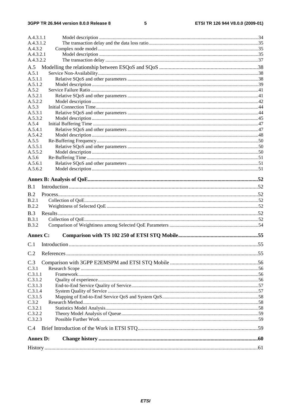#### $\overline{\mathbf{5}}$

| A.4.3.1.1          |  |
|--------------------|--|
| A.4.3.1.2          |  |
| A.4.3.2            |  |
| A.4.3.2.1          |  |
| A.4.3.2.2          |  |
| A.5                |  |
| A.5.1              |  |
| A.5.1.1            |  |
| A.5.1.2            |  |
| A.5.2              |  |
| A.5.2.1            |  |
| A.5.2.2            |  |
| A.5.3              |  |
| A.5.3.1            |  |
| A.5.3.2            |  |
| A.5.4              |  |
| A.5.4.1            |  |
| A.5.4.2            |  |
| A.5.5              |  |
| A.5.5.1            |  |
| A.5.5.2            |  |
| A.5.6              |  |
| A.5.6.1<br>A.5.6.2 |  |
|                    |  |
|                    |  |
| B.1                |  |
| B.2                |  |
| B.2.1              |  |
| <b>B.2.2</b>       |  |
|                    |  |
| B.3                |  |
| <b>B.3.1</b>       |  |
| <b>B.3.2</b>       |  |
| Annex C:           |  |
| C.1                |  |
|                    |  |
| C.2                |  |
| C.3                |  |
| C.3.1              |  |
| C.3.1.1            |  |
| C.3.1.2            |  |
| C.3.1.3            |  |
| C.3.1.4            |  |
| C.3.1.5            |  |
| C.3.2              |  |
| C.3.2.1            |  |
| C.3.2.2            |  |
| C.3.2.3            |  |
| C.4                |  |
| <b>Annex D:</b>    |  |
|                    |  |
|                    |  |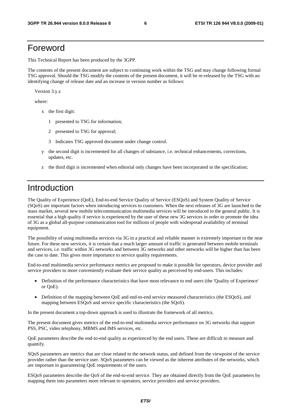## Foreword

This Technical Report has been produced by the 3GPP.

The contents of the present document are subject to continuing work within the TSG and may change following formal TSG approval. Should the TSG modify the contents of the present document, it will be re-released by the TSG with an identifying change of release date and an increase in version number as follows:

Version 3.y.z

where:

- x the first digit:
	- 1 presented to TSG for information;
	- 2 presented to TSG for approval;
	- 3 Indicates TSG approved document under change control.
- y the second digit is incremented for all changes of substance, i.e. technical enhancements, corrections, updates, etc.
- z the third digit is incremented when editorial only changes have been incorporated in the specification;

## Introduction

The Quality of Experience (QoE), End-to-end Service Quality of Service (ESQoS) and System Quality of Service (SQoS) are important factors when introducing services to customers. When the next releases of 3G are launched to the mass market, several new mobile telecommunication multimedia services will be introduced to the general public. It is essential that a high quality if service is experienced by the user of these new 3G services in order to promote the idea of 3G as a global all-purpose communication tool for millions of people with widespread availability of terminal equipment.

The possibility of using multimedia services via 3G in a practical and reliable manner is extremely important in the near future. For these new services, it is certain that a much larger amount of traffic is generated between mobile terminals and services, i.e. traffic within 3G networks and between 3G networks and other networks will be higher than has been the case to date. This gives more importance to service quality requirements.

End-to-end multimedia service performance metrics are proposed to make it possible for operators, device provider and service providers to more conveniently evaluate their service quality as perceived by end-users. This includes:

- Definition of the performance characteristics that have most relevance to end users (the 'Quality of Experience' or QoE).
- Definition of the mapping between QoE and end-to-end service measured characteristics (the ESQoS), and mapping between ESQoS and service specific characteristics (the SQoS).

In the present document a top-down approach is used to illustrate the framework of all metrics.

The present document gives metrics of the end-to-end multimedia service performance on 3G networks that support PSS, PSC, video telephony, MBMS and IMS services, etc.

QoE parameters describe the end-to-end quality as experienced by the end users. These are difficult to measure and quantify.

SQoS parameters are metrics that are close related to the network status, and defined from the viewpoint of the service provider rather than the service user. SQoS parameters can be viewed as the inherent attributes of the networks, which are important in guaranteeing QoE requirements of the users.

ESQoS parameters describe the QoS of the end-to-end service. They are obtained directly from the QoE parameters by mapping them into parameters more relevant to operators, service providers and service providers.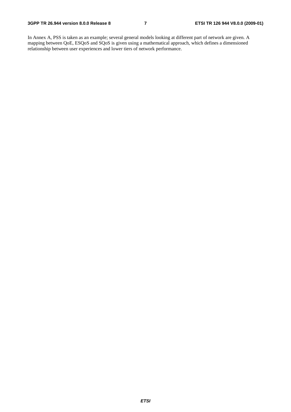In Annex A, PSS is taken as an example; several general models looking at different part of network are given. A mapping between QoE, ESQoS and SQoS is given using a mathematical approach, which defines a dimensioned relationship between user experiences and lower tiers of network performance.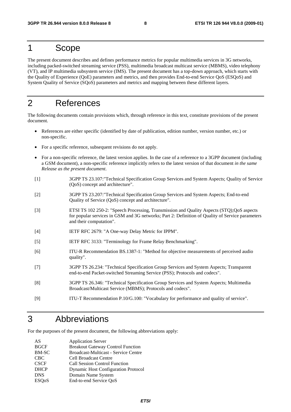## 1 Scope

The present document describes and defines performance metrics for popular multimedia services in 3G networks, including packed-switched streaming service (PSS), multimedia broadcast multicast service (MBMS), video telephony (VT), and IP multimedia subsystem service (IMS). The present document has a top-down approach, which starts with the Quality of Experience (QoE) parameters and metrics, and then provides End-to-end Service QoS (ESQoS) and System Quality of Service (SQoS) parameters and metrics and mapping between these different layers.

## 2 References

The following documents contain provisions which, through reference in this text, constitute provisions of the present document.

- References are either specific (identified by date of publication, edition number, version number, etc.) or non-specific.
- For a specific reference, subsequent revisions do not apply.
- For a non-specific reference, the latest version applies. In the case of a reference to a 3GPP document (including a GSM document), a non-specific reference implicitly refers to the latest version of that document *in the same Release as the present document*.
- [1] 3GPP TS 23.107:"Technical Specification Group Services and System Aspects; Quality of Service (QoS) concept and architecture".
- [2] 3GPP TS 23.207:"Technical Specification Group Services and System Aspects; End-to-end Quality of Service (QoS) concept and architecture".
- [3] ETSI TS 102 250-2: "Speech Processing, Transmission and Quality Aspects (STQ);QoS aspects for popular services in GSM and 3G networks; Part 2: Definition of Quality of Service parameters and their computation".
- [4] IETF RFC 2679: "A One-way Delay Metric for IPPM".
- [5] IETF RFC 3133: "Terminology for Frame Relay Benchmarking".
- [6] ITU-R Recommendation BS.1387-1: "Method for objective measurements of perceived audio quality".
- [7] 3GPP TS 26.234: "Technical Specification Group Services and System Aspects; Transparent end-to-end Packet-switched Streaming Service (PSS); Protocols and codecs".
- [8] 3GPP TS 26.346: "Technical Specification Group Services and System Aspects; Multimedia Broadcast/Multicast Service (MBMS); Protocols and codecs".
- [9] ITU-T Recommendation P.10/G.100: "Vocabulary for performance and quality of service".

## 3 Abbreviations

For the purposes of the present document, the following abbreviations apply:

| AS                        | <b>Application Server</b>                  |
|---------------------------|--------------------------------------------|
| <b>BGCF</b>               | <b>Breakout Gateway Control Function</b>   |
| <b>BM-SC</b>              | Broadcast-Multicast - Service Centre       |
| <b>CBC</b>                | <b>Cell Broadcast Centre</b>               |
| <b>CSCF</b>               | <b>Call Session Control Function</b>       |
| <b>DHCP</b>               | <b>Dynamic Host Configuration Protocol</b> |
| <b>DNS</b>                | Domain Name System                         |
| <b>ESO</b> <sub>o</sub> S | End-to-end Service QoS                     |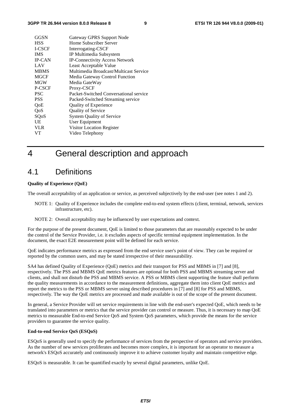| GGSN          | Gateway GPRS Support Node              |  |
|---------------|----------------------------------------|--|
| <b>HSS</b>    | Home Subscriber Server                 |  |
| <b>I-CSCF</b> | Interrogating-CSCF                     |  |
| <b>IMS</b>    | IP Multimedia Subsystem                |  |
| <b>IP-CAN</b> | IP-Connectivity Access Network         |  |
| LAV           | Least Acceptable Value                 |  |
| <b>MBMS</b>   | Multimedia Broadcast/Multicast Service |  |
| <b>MGCF</b>   | Media Gateway Control Function         |  |
| <b>MGW</b>    | Media GateWay                          |  |
| P-CSCF        | Proxy-CSCF                             |  |
| <b>PSC</b>    | Packet-Switched Conversational service |  |
| <b>PSS</b>    | Packed-Switched Streaming service      |  |
| QoE           | Quality of Experience                  |  |
| QoS           | <b>Quality of Service</b>              |  |
| SQoS          | <b>System Quality of Service</b>       |  |
| UE            | User Equipment                         |  |
| <b>VLR</b>    | Visitor Location Register              |  |
| <b>VT</b>     | Video Telephony                        |  |

## 4 General description and approach

### 4.1 Definitions

#### **Quality of Experience (QoE)**

The overall acceptability of an application or service, as perceived subjectively by the end-user (see notes 1 and 2).

- NOTE 1: Quality of Experience includes the complete end-to-end system effects (client, terminal, network, services infrastructure, etc).
- NOTE 2: Overall acceptability may be influenced by user expectations and context.

For the purpose of the present document, QoE is limited to those parameters that are reasonably expected to be under the control of the Service Provider, i.e. it excludes aspects of specific terminal equipment implementation. In the document, the exact E2E measurement point will be defined for each service.

QoE indicates performance metrics as expressed from the end service user's point of view. They can be required or reported by the common users, and may be stated irrespective of their measurability.

SA4 has defined Quality of Experience (QoE) metrics and their transport for PSS and MBMS in [7] and [8], respectively. The PSS and MBMS QoE metrics features are optional for both PSS and MBMS streaming server and clients, and shall not disturb the PSS and MBMS service. A PSS or MBMS client supporting the feature shall perform the quality measurements in accordance to the measurement definitions, aggregate them into client QoE metrics and report the metrics to the PSS or MBMS server using described procedures in [7] and [8] for PSS and MBMS, respectively. The way the QoE metrics are processed and made available is out of the scope of the present document.

In general, a Service Provider will set service requirements in line with the end-user's expected QoE, which needs to be translated into parameters or metrics that the service provider can control or measure. Thus, it is necessary to map QoE metrics to measurable End-to-end Service QoS and System QoS parameters, which provide the means for the service providers to guarantee the service quality.

#### **End-to-end Service QoS (ESQoS)**

ESQoS is generally used to specify the performance of services from the perspective of operators and service providers. As the number of new services proliferates and becomes more complex, it is important for an operator to measure a network's ESQoS accurately and continuously improve it to achieve customer loyalty and maintain competitive edge.

ESQoS is measurable. It can be quantified exactly by several digital parameters, unlike QoE.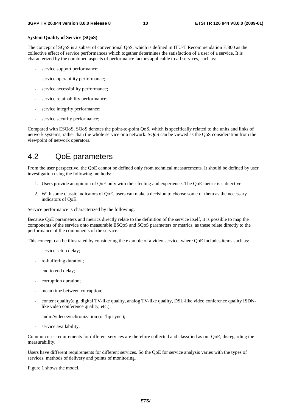#### **System Quality of Service (SQoS)**

The concept of SQoS is a subset of conventional QoS, which is defined in ITU-T Recommendation E.800 as the collective effect of service performances which together determines the satisfaction of a user of a service. It is characterized by the combined aspects of performance factors applicable to all services, such as:

- service support performance;
- service operability performance;
- service accessibility performance;
- service retainability performance;
- service integrity performance;
- service security performance;

Compared with ESQoS, SQoS denotes the point-to-point QoS, which is specifically related to the units and links of network systems, rather than the whole service or a network. SQoS can be viewed as the QoS consideration from the viewpoint of network operators.

## 4.2 QoE parameters

From the user perspective, the QoE cannot be defined only from technical measurements. It should be defined by user investigation using the following methods:

- 1. Users provide an opinion of QoE only with their feeling and experience. The QoE metric is subjective.
- 2. With some classic indicators of QoE, users can make a decision to choose some of them as the necessary indicators of QoE.

Service performance is characterized by the following:

Because QoE parameters and metrics directly relate to the definition of the service itself, it is possible to map the components of the service onto measurable ESQoS and SQoS parameters or metrics, as these relate directly to the performance of the components of the service.

This concept can be illustrated by considering the example of a video service, where QoE includes items such as:

- service setup delay;
- re-buffering duration:
- end to end delay;
- corruption duration;
- mean time between corruption;
- content quality(e.g. digital TV-like quality, analog TV-like quality, DSL-like video conference quality ISDNlike video conference quality, etc.);
- audio/video synchronization (or 'lip sync');
- service availability.

Common user requirements for different services are therefore collected and classified as our QoE, disregarding the measurability.

Users have different requirements for different services. So the QoE for service analysis varies with the types of services, methods of delivery and points of monitoring.

Figure 1 shows the model.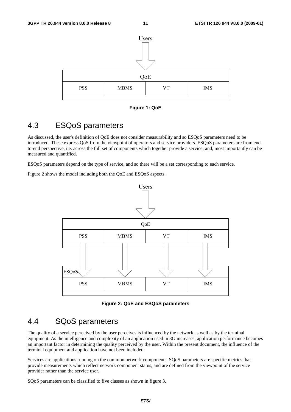

**Figure 1: QoE** 

## 4.3 ESQoS parameters

As discussed, the user's definition of QoE does not consider measurability and so ESQoS parameters need to be introduced. These express QoS from the viewpoint of operators and service providers. ESQoS parameters are from endto-end perspective, i.e. across the full set of components which together provide a service, and, most importantly can be measured and quantified.

ESQoS parameters depend on the type of service, and so there will be a set corresponding to each service.

Figure 2 shows the model including both the QoE and ESQoS aspects.



**Figure 2: QoE and ESQoS parameters** 

## 4.4 SQoS parameters

The quality of a service perceived by the user perceives is influenced by the network as well as by the terminal equipment. As the intelligence and complexity of an application used in 3G increases, application performance becomes an important factor in determining the quality perceived by the user. Within the present document, the influence of the terminal equipment and application have not been included.

Services are applications running on the common network components. SQoS parameters are specific metrics that provide measurements which reflect network component status, and are defined from the viewpoint of the service provider rather than the service user.

SQoS parameters can be classified to five classes as shown in figure 3.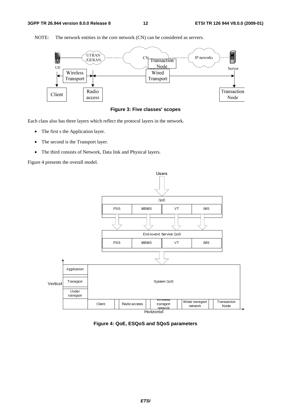

NOTE: The network entities in the core network (CN) can be considered as servers.



Each class also has three layers which reflect the protocol layers in the network.

- The first s the Application layer.
- The second is the Transport layer.
- The third consists of Network, Data link and Physical layers.

Figure 4 presents the overall model.



**Figure 4: QoE, ESQoS and SQoS parameters**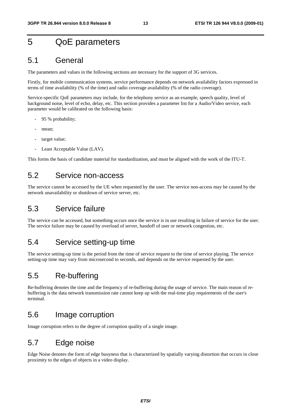## 5 QoE parameters

## 5.1 General

The parameters and values in the following sections are necessary for the support of 3G services.

Firstly, for mobile communication systems, service performance depends on network availability factors expressed in terms of time availability (% of the time) and radio coverage availability (% of the radio coverage).

Service-specific QoE parameters may include, for the telephony service as an example, speech quality, level of background noise, level of echo, delay, etc. This section provides a parameter list for a Audio/Video service, each parameter would be calibrated on the following basis:

- 95 % probability;
- mean;
- target value:
- Least Acceptable Value (LAV).

This forms the basis of candidate material for standardization, and must be aligned with the work of the ITU-T.

## 5.2 Service non-access

The service cannot be accessed by the UE when requested by the user. The service non-access may be caused by the network unavailability or shutdown of service server, etc.

## 5.3 Service failure

The service can be accessed, but something occurs once the service is in use resulting in failure of service for the user. The service failure may be caused by overload of server, handoff of user or network congestion, etc.

## 5.4 Service setting-up time

The service setting-up time is the period from the time of service request to the time of service playing. The service setting-up time may vary from microsecond to seconds, and depends on the service requested by the user.

## 5.5 Re-buffering

Re-buffering denotes the time and the frequency of re-buffering during the usage of service. The main reason of rebuffering is the data network transmission rate cannot keep up with the real-time play requirements of the user's terminal.

### 5.6 Image corruption

Image corruption refers to the degree of corruption quality of a single image.

## 5.7 Edge noise

Edge Noise denotes the form of edge busyness that is characterized by spatially varying distortion that occurs in close proximity to the edges of objects in a video display.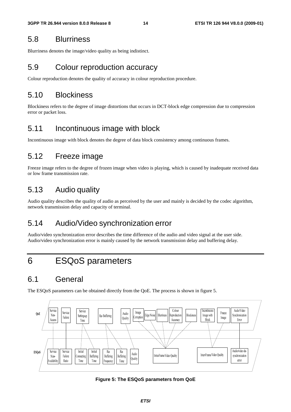## 5.8 Blurriness

Blurriness denotes the image/video quality as being indistinct.

## 5.9 Colour reproduction accuracy

Colour reproduction denotes the quality of accuracy in colour reproduction procedure.

## 5.10 Blockiness

Blockiness refers to the degree of image distortions that occurs in DCT-block edge compression due to compression error or packet loss.

## 5.11 Incontinuous image with block

Incontinuous image with block denotes the degree of data block consistency among continuous frames.

## 5.12 Freeze image

Freeze image refers to the degree of frozen image when video is playing, which is caused by inadequate received data or low frame transmission rate.

## 5.13 Audio quality

Audio quality describes the quality of audio as perceived by the user and mainly is decided by the codec algorithm, network transmission delay and capacity of terminal.

## 5.14 Audio/Video synchronization error

Audio/video synchronization error describes the time difference of the audio and video signal at the user side. Audio/video synchronization error is mainly caused by the network transmission delay and buffering delay.

## 6 ESQoS parameters

## 6.1 General

The ESQoS parameters can be obtained directly from the QoE. The process is shown in figure 5.



**Figure 5: The ESQoS parameters from QoE**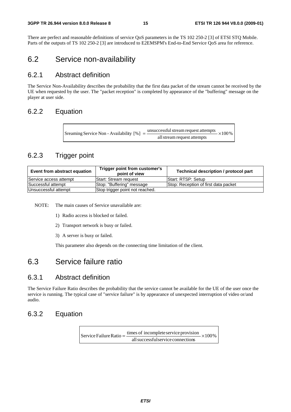There are perfect and reasonable definitions of service QoS parameters in the TS 102 250-2 [3] of ETSI STQ Mobile. Parts of the outputs of TS 102 250-2 [3] are introduced to E2EMSPM's End-to-End Service QoS area for reference.

### 6.2 Service non-availability

### 6.2.1 Abstract definition

The Service Non-Availability describes the probability that the first data packet of the stream cannot be received by the UE when requested by the user. The "packet reception" is completed by appearance of the "buffering" message on the player at user side.

### 6.2.2 Equation

 $\times 100\%$ allstream request attempts Sreaming Service Non - Availability  $[\%] = \frac{\text{unsuccessful stream request attempts}}{\text{...}}$ 

### 6.2.3 Trigger point

| Trigger point from customer's<br>Event from abstract equation<br>point of view |                                 | Technical description / protocol part |
|--------------------------------------------------------------------------------|---------------------------------|---------------------------------------|
| Service access attempt                                                         | <b>Start: Stream request</b>    | <b>IStart: RTSP: Setup</b>            |
| Successful attempt                                                             | Stop: "Buffering" message       | Stop: Reception of first data packet  |
| Unsuccessful attempt                                                           | Stop trigger point not reached. |                                       |

NOTE: The main causes of Service unavailable are:

- 1) Radio access is blocked or failed.
- 2) Transport network is busy or failed.
- 3) A server is busy or failed.

This parameter also depends on the connecting time limitation of the client.

## 6.3 Service failure ratio

### 6.3.1 Abstract definition

The Service Failure Ratio describes the probability that the service cannot be available for the UE of the user once the service is running. The typical case of "service failure" is by appearance of unexpected interruption of video or/and audio.

### 6.3.2 Equation

 $\times100\%$ allsuccessfulservice connections Service Failure Ratio  $=$   $\frac{\text{times of incomplete service provision}}{}$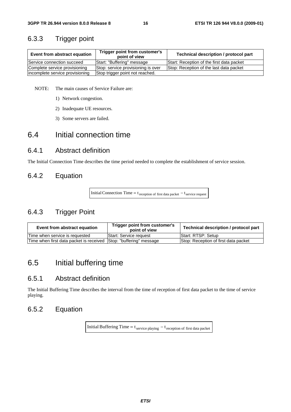### 6.3.3 Trigger point

| Event from abstract equation    | Trigger point from customer's<br>point of view | Technical description / protocol part     |
|---------------------------------|------------------------------------------------|-------------------------------------------|
| Service connection succeed      | Start: "Buffering" message                     | Start: Reception of the first data packet |
| Complete service provisioning   | Stop: service provisioning is over             | Stop: Reception of the last data packet   |
| incomplete service provisioning | Stop trigger point not reached.                |                                           |

NOTE: The main causes of Service Failure are:

- 1) Network congestion.
- 2) Inadequate UE resources.
- 3) Some servers are failed.

## 6.4 Initial connection time

### 6.4.1 Abstract definition

The Initial Connection Time describes the time period needed to complete the establishment of service session.

### 6.4.2 Equation

Initial Connection Time =  $t_{\text{reception of first data packet}} - t_{\text{service request}}$ 

### 6.4.3 Trigger Point

| Event from abstract equation                                       | Trigger point from customer's<br>point of view | Technical description / protocol part |
|--------------------------------------------------------------------|------------------------------------------------|---------------------------------------|
| Time when service is requested                                     | <b>Start: Service request</b>                  | Start: RTSP: Setup                    |
| Time when first data packet is received Sttop: "buffering" message |                                                | Stop: Reception of first data packet  |

## 6.5 Initial buffering time

### 6.5.1 Abstract definition

The Initial Buffering Time describes the interval from the time of reception of first data packet to the time of service playing.

### 6.5.2 Equation

Initial Buffering Time =  $t_{\text{service playing}} - t_{\text{reception of first data packet}}$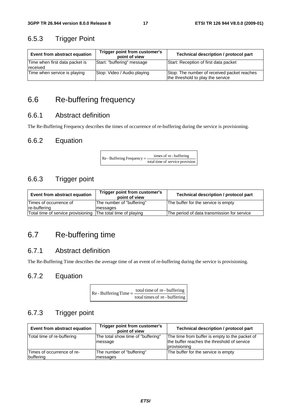## 6.5.3 Trigger Point

| Event from abstract equation                      | Trigger point from customer's<br>point of view | Technical description / protocol part                                            |
|---------------------------------------------------|------------------------------------------------|----------------------------------------------------------------------------------|
| Time when first data packet is<br><b>received</b> | Start: "buffering" message                     | Start: Reception of first data packet                                            |
| Time when service is playing                      | Stop: Video / Audio playing                    | Stop: The number of received packet reaches<br>the threshold to play the service |

## 6.6 Re-buffering frequency

### 6.6.1 Abstract definition

The Re-Buffering Frequency describes the times of occurrence of re-buffering during the service is provisioning.

### 6.6.2 Equation

 $\text{Re}$  - Buffering Frequency =  $\frac{\text{times of re} \cdot \text{buffering}}{\text{total time of service provision}}$ 

## 6.6.3 Trigger point

| Event from abstract equation                                 | Trigger point from customer's<br>point of view | Technical description / protocol part       |
|--------------------------------------------------------------|------------------------------------------------|---------------------------------------------|
| Times of occurrence of                                       | The number of "buffering"                      | The buffer for the service is empty         |
| re-buffering                                                 | messages                                       |                                             |
| Total time of service provisioning The total time of playing |                                                | The period of data transmission for service |

## 6.7 Re-buffering time

### 6.7.1 Abstract definition

The Re-Buffering Time describes the average time of an event of re-buffering during the service is provisioning.

### 6.7.2 Equation

| $Re$ - Buffering Time = $-\frac{1}{2}$ | total time of re-buffering    |
|----------------------------------------|-------------------------------|
|                                        | total times of re - buffering |

### 6.7.3 Trigger point

| Event from abstract equation            | Trigger point from customer's<br>point of view | <b>Technical description / protocol part</b>                                                                  |
|-----------------------------------------|------------------------------------------------|---------------------------------------------------------------------------------------------------------------|
| Total time of re-buffering              | The total show time of "buffering"<br>message  | The time from buffer is empty to the packet of<br>the buffer reaches the threshold of service<br>provisioning |
| Times of occurrence of re-<br>buffering | The number of "buffering"<br>messages          | The buffer for the service is empty                                                                           |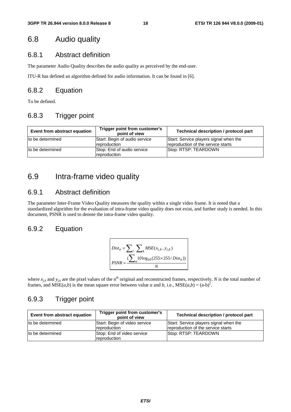## 6.8 Audio quality

### 6.8.1 Abstract definition

The parameter Audio Quality describes the audio quality as perceived by the end-user.

ITU-R has defined an algorithm defined for audio information. It can be found in [6].

### 6.8.2 Equation

To be defined.

### 6.8.3 Trigger point

| Event from abstract equation | Trigger point from customer's<br>point of view | Technical description / protocol part                                        |
|------------------------------|------------------------------------------------|------------------------------------------------------------------------------|
| to be determined             | Start: Begin of audio service<br>reproduction  | Start: Service players signal when the<br>reproduction of the service starts |
| to be determined             | Stop: End of audio service<br>reproduction     | Stop: RTSP: TEARDOWN                                                         |

## 6.9 Intra-frame video quality

### 6.9.1 Abstract definition

The parameter Inter-Frame Video Quality measures the quality within a single video frame. It is noted that a standardized algorithm for the evaluation of intra-frame video quality does not exist, and further study is needed. In this document, PSNR is used to denote the intra-frame video quality.

### 6.9.2 Equation

$$
Dist_n = \sum_{i} \sum_{k} MSE(x_{i,k}, y_{i,k})
$$
  
PSNR = 
$$
\frac{\sum_{i} 10 \log_{10}(255 \times 255/Dist_n))}{N}
$$

where  $x_{jk}$  and  $y_{jk}$  are the pixel values of the n<sup>th</sup> original and reconstructed frames, respectively, *N* is the total number of frames, and  $MSE(a,b)$  is the mean square error between value *a* and *b*, i.e.,  $MSE(a,b) = (a-b)^2$ .

### 6.9.3 Trigger point

| Event from abstract equation | Trigger point from customer's<br>point of view | Technical description / protocol part                                        |
|------------------------------|------------------------------------------------|------------------------------------------------------------------------------|
| to be determined             | Start: Begin of video service<br>reproduction  | Start: Service players signal when the<br>reproduction of the service starts |
| to be determined             | Stop: End of video service<br>reproduction     | Stop: RTSP: TEARDOWN                                                         |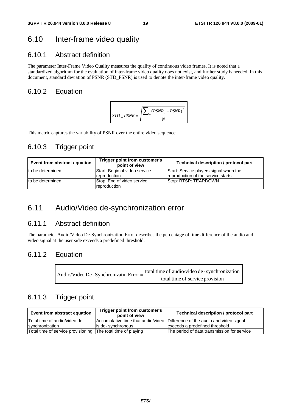## 6.10 Inter-frame video quality

## 6.10.1 Abstract definition

The parameter Inter-Frame Video Quality measures the quality of continuous video frames. It is noted that a standardized algorithm for the evaluation of inter-frame video quality does not exist, and further study is needed. In this document, standard deviation of PSNR (STD\_PSNR) is used to denote the inter-frame video quality.

## 6.10.2 Equation



This metric captures the variability of PSNR over the entire video sequence.

### 6.10.3 Trigger point

| Event from abstract equation | Trigger point from customer's<br>point of view | Technical description / protocol part                                        |
|------------------------------|------------------------------------------------|------------------------------------------------------------------------------|
| Ito be determined            | Start: Begin of video service<br>reproduction  | Start: Service players signal when the<br>reproduction of the service starts |
| to be determined             | Stop: End of video service<br>reproduction     | Stop: RTSP: TEARDOWN                                                         |

## 6.11 Audio/Video de-synchronization error

### 6.11.1 Abstract definition

The parameter Audio/Video De-Synchronization Error describes the percentage of time difference of the audio and video signal at the user side exceeds a predefined threshold.

### 6.11.2 Equation

| Audio/Video De - Synchronizatin Error = $\frac{1}{2}$ | total time of audio/video de - synchronization |
|-------------------------------------------------------|------------------------------------------------|
|                                                       | total time of service provision                |

### 6.11.3 Trigger point

| Event from abstract equation                                 | Trigger point from customer's<br>point of view | Technical description / protocol part                                       |  |  |  |
|--------------------------------------------------------------|------------------------------------------------|-----------------------------------------------------------------------------|--|--|--|
| Total time of audio/video de-                                |                                                | Accumulative time that audio/video Difference of the audio and video signal |  |  |  |
| svnchronization                                              | lis de- synchronous                            | exceeds a predefined threshold                                              |  |  |  |
| Total time of service provisioning The total time of playing |                                                | The period of data transmission for service                                 |  |  |  |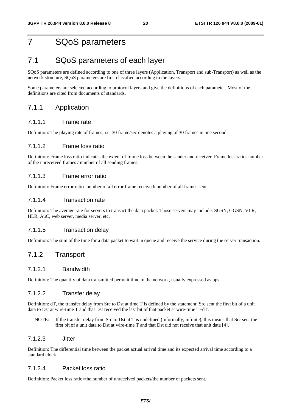## 7 SQoS parameters

## 7.1 SQoS parameters of each layer

SQoS parameters are defined according to one of three layers (Application, Transport and sub-Transport) as well as the network structure, SQoS parameters are first classified according to the layers.

Some parameters are selected according to protocol layers and give the definitions of each parameter. Most of the definitions are cited from documents of standards.

### 7.1.1 Application

#### 7.1.1.1 Frame rate

Definition: The playing rate of frames, i.e. 30 frame/sec denotes a playing of 30 frames in one second.

#### 7.1.1.2 Frame loss ratio

Definition: Frame loss ratio indicates the extent of frame loss between the sender and receiver. Frame loss ratio=number of the unreceived frames / number of all sending frames.

#### 7.1.1.3 Frame error ratio

Definition: Frame error ratio=number of all error frame received/ number of all frames sent.

#### 7.1.1.4 Transaction rate

Definition: The average rate for servers to transact the data packet. Those servers may include: SGSN, GGSN, VLR, HLR, AuC, web server, media server, etc.

#### 7.1.1.5 Transaction delay

Definition: The sum of the time for a data packet to wait in queue and receive the service during the server transaction.

### 7.1.2 Transport

#### 7.1.2.1 Bandwidth

Definition: The quantity of data transmitted per unit time in the network, usually expressed as bps.

#### 7.1.2.2 Transfer delay

Definition: dT, the transfer delay from Src to Dst at time T is defined by the statement: Src sent the first bit of a unit data to Dst at wire-time T and that Dst received the last bit of that packet at wire-time T+dT.

NOTE: If the transfer delay from Src to Dst at T is undefined (informally, infinite), this means that Src sent the first bit of a unit data to Dst at wire-time T and that Dst did not receive that unit data [4].

#### 7.1.2.3 Jitter

Definition: The differential time between the packet actual arrival time and its expected arrival time according to a standard clock.

#### 7.1.2.4 Packet loss ratio

Definition: Packet loss ratio=the number of unreceived packets/the number of packets sent.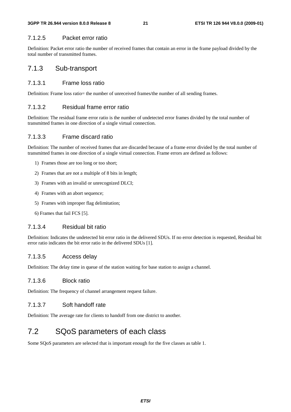#### 7.1.2.5 Packet error ratio

Definition: Packet error ratio the number of received frames that contain an error in the frame payload divided by the total number of transmitted frames.

### 7.1.3 Sub-transport

#### 7.1.3.1 Frame loss ratio

Definition: Frame loss ratio= the number of unreceived frames/the number of all sending frames.

#### 7.1.3.2 Residual frame error ratio

Definition: The residual frame error ratio is the number of undetected error frames divided by the total number of transmitted frames in one direction of a single virtual connection.

#### 7.1.3.3 Frame discard ratio

Definition: The number of received frames that are discarded because of a frame error divided by the total number of transmitted frames in one direction of a single virtual connection. Frame errors are defined as follows:

- 1) Frames those are too long or too short;
- 2) Frames that are not a multiple of 8 bits in length;
- 3) Frames with an invalid or unrecognized DLCI;
- 4) Frames with an abort sequence;
- 5) Frames with improper flag delimitation;
- 6) Frames that fail FCS [5].

#### 7.1.3.4 Residual bit ratio

Definition: Indicates the undetected bit error ratio in the delivered SDUs. If no error detection is requested, Residual bit error ratio indicates the bit error ratio in the delivered SDUs [1].

#### 7.1.3.5 Access delay

Definition: The delay time in queue of the station waiting for base station to assign a channel.

#### 7.1.3.6 Block ratio

Definition: The frequency of channel arrangement request failure.

### 7.1.3.7 Soft handoff rate

Definition: The average rate for clients to handoff from one district to another.

## 7.2 SQoS parameters of each class

Some SQoS parameters are selected that is important enough for the five classes as table 1.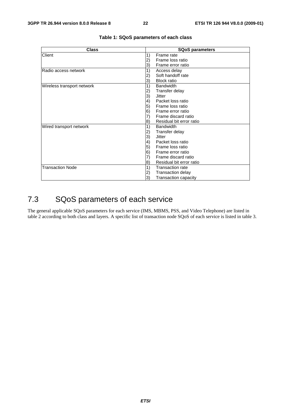| <b>Class</b>               | <b>SQoS parameters</b>          |  |  |  |
|----------------------------|---------------------------------|--|--|--|
| Client                     | Frame rate<br>1)                |  |  |  |
|                            | Frame loss ratio<br>2)          |  |  |  |
|                            | Frame error ratio<br>3)         |  |  |  |
| IRadio access network      | 1)<br>Access delay              |  |  |  |
|                            | Soft handoff rate<br>2)         |  |  |  |
|                            | <b>Block ratio</b><br>3)        |  |  |  |
| Wireless transport network | <b>Bandwidth</b><br>1)          |  |  |  |
|                            | Transfer delay<br>2)            |  |  |  |
|                            | 3)<br>Jitter                    |  |  |  |
|                            | Packet loss ratio<br>(4         |  |  |  |
|                            | 5)<br>Frame loss ratio          |  |  |  |
|                            | Frame error ratio<br>$\vert 6)$ |  |  |  |
|                            | Frame discard ratio<br>7)       |  |  |  |
|                            | Residual bit error ratio<br>8)  |  |  |  |
| Wired transport network    | 1)<br><b>Bandwidth</b>          |  |  |  |
|                            | Transfer delay<br>$\bf{2)}$     |  |  |  |
|                            | 3)<br>Jitter                    |  |  |  |
|                            | Packet loss ratio<br>(4         |  |  |  |
|                            | Frame loss ratio<br>5)          |  |  |  |
|                            | 6)<br>Frame error ratio         |  |  |  |
|                            | Frame discard ratio<br>7)       |  |  |  |
|                            | Residual bit error ratio<br> 8) |  |  |  |
| <b>Transaction Node</b>    | 1)<br><b>Transaction rate</b>   |  |  |  |
|                            | <b>Transaction delay</b><br>2)  |  |  |  |
|                            | 3)<br>Transaction capacity      |  |  |  |

#### **Table 1: SQoS parameters of each class**

## 7.3 SQoS parameters of each service

The general applicable SQoS parameters for each service (IMS, MBMS, PSS, and Video Telephone) are listed in table 2 according to both class and layers. A specific list of transaction node SQoS of each service is listed in table 3.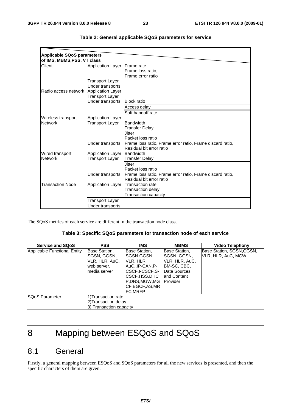| <b>Applicable SQoS parameters</b> |                          |                                                           |
|-----------------------------------|--------------------------|-----------------------------------------------------------|
| of IMS, MBMS, PSS, VT class       |                          |                                                           |
| Client                            | <b>Application Layer</b> | <b>IFrame</b> rate                                        |
|                                   |                          | Frame loss ratio,                                         |
|                                   |                          | Frame error ratio                                         |
|                                   | Transport Layer          |                                                           |
|                                   | Under transports         |                                                           |
| Radio access network              | Application Layer        |                                                           |
|                                   | <b>Transport Layer</b>   |                                                           |
|                                   | Under transports         | <b>Block ratio</b>                                        |
|                                   |                          | Access delay                                              |
|                                   |                          | Soft handoff rate                                         |
| Wireless transport                | <b>Application Layer</b> |                                                           |
| <b>Network</b>                    | Transport Laver          | <b>Bandwidth</b>                                          |
|                                   |                          | Transfer Delay                                            |
|                                   |                          | Jitter                                                    |
|                                   |                          | Packet loss ratio                                         |
|                                   | Under transports         | Frame loss ratio, Frame error ratio, Frame discard ratio, |
|                                   |                          | Residual bit error ratio                                  |
| Wired transport                   | <b>Application Layer</b> | Bandwidth                                                 |
| <b>Network</b>                    | Transport Layer          | <b>Transfer Delay</b>                                     |
|                                   |                          | <b>Jitter</b>                                             |
|                                   |                          | Packet loss ratio                                         |
|                                   | Under transports         | Frame loss ratio, Frame error ratio, Frame discard ratio, |
|                                   |                          | Residual bit error ratio                                  |
| <b>Transaction Node</b>           | <b>Application Layer</b> | <b>Transaction rate</b>                                   |
|                                   |                          | <b>Transaction delay</b>                                  |
|                                   |                          | Transaction capacity                                      |
|                                   | Transport Layer          |                                                           |
|                                   | Under transports         |                                                           |

| Table 2: General applicable SQoS parameters for service |  |  |  |  |
|---------------------------------------------------------|--|--|--|--|
|---------------------------------------------------------|--|--|--|--|

The SQoS metrics of each service are different in the transaction node class.

#### **Table 3: Specific SQoS parameters for transaction node of each service**

| <b>Service and SQoS</b>      | <b>PSS</b>                                                                     | <b>IMS</b>                                                                                                                                            | <b>MBMS</b>                                                                                                | Video Telephony                                 |
|------------------------------|--------------------------------------------------------------------------------|-------------------------------------------------------------------------------------------------------------------------------------------------------|------------------------------------------------------------------------------------------------------------|-------------------------------------------------|
| Applicable Functional Entity | Base Station,<br>SGSN, GGSN,<br>VLR, HLR, AuC,<br>web server,<br>Imedia server | Base Station,<br>ISGSN.GGSN.<br>IVLR, HLR,<br>IAuCIP-CAN.P-<br>ICSCF.I-CSCF.S-<br>ICSCF,HSS,DHC<br>P.DNS.MGW.MG<br>CF, BGCF, AS, MR<br><b>FC.MRFP</b> | Base Station,<br>SGSN, GGSN,<br>VLR, HLR, AuC,<br>IBM-SC, CBC,<br>Data Sources<br>land Content<br>Provider | Base Station, SGSN, GGSN,<br>VLR, HLR, AuC, MGW |
| <b>SQoS Parameter</b>        | 1) Transaction rate<br>2) Transaction delay<br>3) Transaction capacity         |                                                                                                                                                       |                                                                                                            |                                                 |

## 8 Mapping between ESQoS and SQoS

## 8.1 General

Firstly, a general mapping between ESQoS and SQoS parameters for all the new services is presented, and then the specific characters of them are given.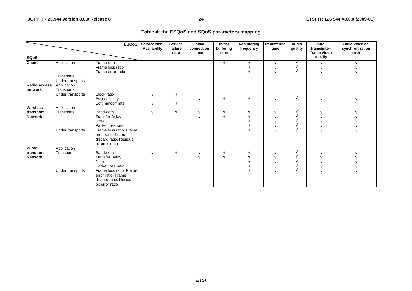#### **Table 4: the ESQoS and SQoS parameters mapping**

| <b>ESQoS</b>                    |                                                             |                                                                                             | Service Non-<br>Availability | <b>Service</b><br>failure<br>ratio | <b>Initial</b><br>connection<br>time | <b>Initial</b><br>buffering<br>time | Rebuffering<br>frequency | Rebuffering<br>time | <b>Audio</b><br>quality | Intra-<br>frame/inter-<br>frame Video | Audio/video de-<br>synchronization<br>error |
|---------------------------------|-------------------------------------------------------------|---------------------------------------------------------------------------------------------|------------------------------|------------------------------------|--------------------------------------|-------------------------------------|--------------------------|---------------------|-------------------------|---------------------------------------|---------------------------------------------|
| <b>SQoS</b>                     |                                                             |                                                                                             |                              |                                    |                                      |                                     |                          |                     |                         | quality                               |                                             |
| <b>Client</b>                   | Application                                                 | Frame rate<br>Frame loss ratio,<br>Frame error ratio                                        |                              |                                    |                                      |                                     |                          |                     |                         |                                       |                                             |
| Radio access<br><b>Inetwork</b> | Transports<br>Under transports<br>Application<br>Transports |                                                                                             |                              |                                    |                                      |                                     |                          |                     |                         |                                       |                                             |
|                                 | Under transports                                            | <b>Block ratio</b><br>Access delay<br>Soft handoff rate                                     |                              |                                    |                                      |                                     |                          |                     | N                       |                                       |                                             |
| <b>Wireless</b>                 | Application                                                 |                                                                                             |                              |                                    |                                      |                                     |                          |                     |                         |                                       |                                             |
| transport<br><b>Network</b>     | Transports                                                  | <b>Bandwidth</b><br><b>Transfer Delay</b><br><b>Jitter</b><br>Packet loss ratio             |                              |                                    |                                      |                                     |                          |                     |                         |                                       |                                             |
|                                 | Under transports                                            | Frame loss ratio, Frame<br>error ratio, Frame<br>discard ratio, Residual<br>bit error ratio |                              |                                    |                                      |                                     |                          |                     |                         |                                       |                                             |
| <b>Wired</b>                    | Application                                                 |                                                                                             |                              |                                    |                                      |                                     |                          |                     |                         |                                       |                                             |
| transport<br><b>Network</b>     | Transports                                                  | <b>Bandwidth</b><br><b>Transfer Delay</b><br><b>Jitter</b><br>Packet loss ratio             |                              |                                    |                                      |                                     |                          |                     |                         |                                       |                                             |
|                                 | Under transports                                            | Frame loss ratio, Frame<br>error ratio, Frame<br>discard ratio, Residual<br>bit error ratio |                              |                                    |                                      |                                     |                          |                     |                         |                                       |                                             |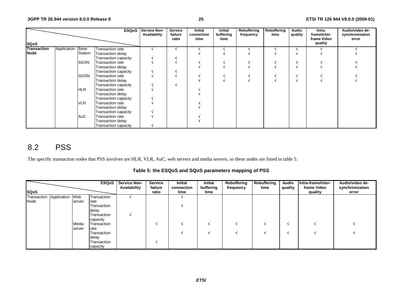|             |             |             | <b>ESQoS</b>                | <b>Service Non-</b><br>Availability | <b>Service</b><br>failure<br>ratio | Initial<br>connection<br>time | Initial<br>buffering<br>time | Rebuffering<br>frequency | Rebuffering<br>time | Audio<br>quality | Intra-<br>frame/inter-<br>frame Video | Audio/video de-<br>synchronization<br>error |
|-------------|-------------|-------------|-----------------------------|-------------------------------------|------------------------------------|-------------------------------|------------------------------|--------------------------|---------------------|------------------|---------------------------------------|---------------------------------------------|
| <b>SQoS</b> |             |             |                             |                                     |                                    |                               |                              |                          |                     |                  | quality                               |                                             |
| Transaction | Application | Base        | Transaction rate            |                                     |                                    |                               |                              |                          |                     |                  |                                       |                                             |
| <b>Node</b> |             | Station     | <b>Transaction delay</b>    |                                     |                                    |                               |                              |                          |                     |                  |                                       |                                             |
|             |             |             | Transaction capacity        |                                     |                                    |                               |                              |                          |                     |                  |                                       |                                             |
|             |             | <b>SGSN</b> | Transaction rate            |                                     |                                    |                               |                              |                          |                     |                  |                                       |                                             |
|             |             |             | <b>Transaction delay</b>    |                                     |                                    |                               |                              |                          |                     |                  |                                       |                                             |
|             |             |             | Transaction capacity        |                                     |                                    |                               |                              |                          |                     |                  |                                       |                                             |
|             |             | <b>GGSN</b> | Transaction rate            |                                     |                                    |                               |                              |                          |                     |                  |                                       |                                             |
|             |             |             | Transaction delay           |                                     |                                    |                               |                              |                          |                     |                  |                                       |                                             |
|             |             |             | Transaction capacity        |                                     |                                    |                               |                              |                          |                     |                  |                                       |                                             |
|             |             | HLR.        | Transaction rate            |                                     |                                    |                               |                              |                          |                     |                  |                                       |                                             |
|             |             |             | <b>Transaction delay</b>    |                                     |                                    |                               |                              |                          |                     |                  |                                       |                                             |
|             |             |             | Transaction capacity        |                                     |                                    |                               |                              |                          |                     |                  |                                       |                                             |
|             |             | <b>VLR</b>  | Transaction rate            |                                     |                                    |                               |                              |                          |                     |                  |                                       |                                             |
|             |             |             | Transaction delay           |                                     |                                    |                               |                              |                          |                     |                  |                                       |                                             |
|             |             |             | Transaction capacity        |                                     |                                    |                               |                              |                          |                     |                  |                                       |                                             |
|             |             | AuC         | Transaction rate            |                                     |                                    |                               |                              |                          |                     |                  |                                       |                                             |
|             |             |             | Transaction delay           |                                     |                                    |                               |                              |                          |                     |                  |                                       |                                             |
|             |             |             | <b>Transaction capacity</b> |                                     |                                    |                               |                              |                          |                     |                  |                                       |                                             |

## 8.2 PSS

The specific transaction nodes that PSS involves are HLR, VLR, AuC, web servers and media servers, so these nodes are listed in table 5.

**Table 5: the ESQoS and SQoS parameters mapping of PSS** 

|                             |        |             | <b>ESQoS</b>   Service Non-<br>Availability | <b>Service</b><br>failure | Initial<br>connection | Initial<br>buffering | Rebuffering<br>frequency | Rebuffering<br>time | Audio<br>quality | Intra-frame/inter-<br>frame Video | Audio/video de-<br>synchronization |
|-----------------------------|--------|-------------|---------------------------------------------|---------------------------|-----------------------|----------------------|--------------------------|---------------------|------------------|-----------------------------------|------------------------------------|
| <b>SQoS</b>                 |        |             |                                             | ratio                     | time                  | time                 |                          |                     |                  | quality                           | error                              |
| Transaction Application Web |        | Transaction |                                             |                           |                       |                      |                          |                     |                  |                                   |                                    |
| Node                        | server | rate        |                                             |                           |                       |                      |                          |                     |                  |                                   |                                    |
|                             |        | Transaction |                                             |                           |                       |                      |                          |                     |                  |                                   |                                    |
|                             |        | delay       |                                             |                           |                       |                      |                          |                     |                  |                                   |                                    |
|                             |        | Transaction |                                             |                           |                       |                      |                          |                     |                  |                                   |                                    |
|                             |        | capacity    |                                             |                           |                       |                      |                          |                     |                  |                                   |                                    |
|                             | Media  | Transaction |                                             |                           |                       |                      |                          |                     |                  |                                   |                                    |
|                             | server | rate        |                                             |                           |                       |                      |                          |                     |                  |                                   |                                    |
|                             |        | Transaction |                                             |                           |                       |                      |                          |                     |                  |                                   |                                    |
|                             |        | delay       |                                             |                           |                       |                      |                          |                     |                  |                                   |                                    |
|                             |        | Transaction |                                             |                           |                       |                      |                          |                     |                  |                                   |                                    |
|                             |        | capacity    |                                             |                           |                       |                      |                          |                     |                  |                                   |                                    |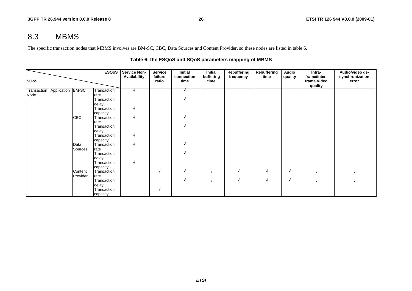## 8.3 MBMS

The specific transaction nodes that MBMS involves are BM-SC, CBC, Data Sources and Content Provider, so these nodes are listed in table 6.

|                     |                   |            | <b>ESQoS</b>        | <b>Service Non-</b> | <b>Service</b>   | <b>Initial</b>     | <b>Initial</b>    | <b>Rebuffering</b> | Rebuffering | Audio   | Intra-                                 | Audio/video de-          |
|---------------------|-------------------|------------|---------------------|---------------------|------------------|--------------------|-------------------|--------------------|-------------|---------|----------------------------------------|--------------------------|
| <b>SQoS</b>         |                   |            |                     | Availability        | failure<br>ratio | connection<br>time | buffering<br>time | frequency          | time        | quality | frame/inter-<br>frame Video<br>quality | synchronization<br>error |
| Transaction<br>Node | Application BM-SC |            | Transaction<br>rate |                     |                  |                    |                   |                    |             |         |                                        |                          |
|                     |                   |            | Transaction         |                     |                  |                    |                   |                    |             |         |                                        |                          |
|                     |                   |            | delay               |                     |                  |                    |                   |                    |             |         |                                        |                          |
|                     |                   |            | Transaction         |                     |                  |                    |                   |                    |             |         |                                        |                          |
|                     |                   |            | capacity            |                     |                  |                    |                   |                    |             |         |                                        |                          |
|                     |                   | <b>CBC</b> | Transaction         |                     |                  |                    |                   |                    |             |         |                                        |                          |
|                     |                   |            | rate                |                     |                  |                    |                   |                    |             |         |                                        |                          |
|                     |                   |            | Transaction         |                     |                  |                    |                   |                    |             |         |                                        |                          |
|                     |                   |            | delay               |                     |                  |                    |                   |                    |             |         |                                        |                          |
|                     |                   |            | Transaction         |                     |                  |                    |                   |                    |             |         |                                        |                          |
|                     |                   |            | capacity            |                     |                  |                    |                   |                    |             |         |                                        |                          |
|                     |                   | Data       | Transaction         |                     |                  |                    |                   |                    |             |         |                                        |                          |
|                     |                   | Sources    | rate<br>Transaction |                     |                  |                    |                   |                    |             |         |                                        |                          |
|                     |                   |            | delay               |                     |                  |                    |                   |                    |             |         |                                        |                          |
|                     |                   |            | Transaction         |                     |                  |                    |                   |                    |             |         |                                        |                          |
|                     |                   |            | capacity            |                     |                  |                    |                   |                    |             |         |                                        |                          |
|                     |                   | Content    | Transaction         |                     | N                |                    | V                 | N                  |             | N       |                                        |                          |
|                     |                   | Provider   | rate                |                     |                  |                    |                   |                    |             |         |                                        |                          |
|                     |                   |            | Transaction         |                     |                  |                    | V                 | N                  |             | N       |                                        |                          |
|                     |                   |            | delay               |                     |                  |                    |                   |                    |             |         |                                        |                          |
|                     |                   |            | Transaction         |                     | N                |                    |                   |                    |             |         |                                        |                          |
|                     |                   |            | capacity            |                     |                  |                    |                   |                    |             |         |                                        |                          |

#### **Table 6: the ESQoS and SQoS parameters mapping of MBMS**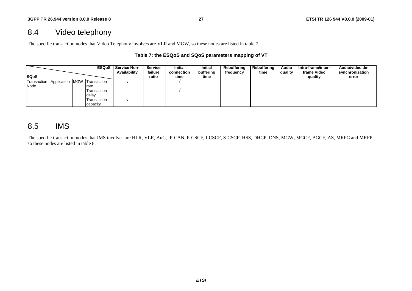## 8.4 Video telephony

The specific transaction nodes that Video Telephony involves are VLR and MGW, so these nodes are listed in table 7.

#### **Table 7: the ESQoS and SQoS parameters mapping of VT**

|              |  | <b>ESQoS</b>                | <b>Service Non-</b><br>Availability | <b>Service</b><br>failure | <b>Initial</b><br>connection | <b>Initial</b><br>buffering | Rebuffering<br>frequency | <b>Rebuffering</b><br>time | <b>Audio</b><br>quality | Intra-frame/inter-<br>frame Video | Audio/video de-<br>synchronization |
|--------------|--|-----------------------------|-------------------------------------|---------------------------|------------------------------|-----------------------------|--------------------------|----------------------------|-------------------------|-----------------------------------|------------------------------------|
| <b>ISQoS</b> |  |                             |                                     | ratio                     | time                         | time                        |                          |                            |                         | quality                           | error                              |
| Transaction  |  | Application MGW Transaction |                                     |                           |                              |                             |                          |                            |                         |                                   |                                    |
| Node         |  | rate                        |                                     |                           |                              |                             |                          |                            |                         |                                   |                                    |
|              |  | Transaction                 |                                     |                           |                              |                             |                          |                            |                         |                                   |                                    |
|              |  | delay                       |                                     |                           |                              |                             |                          |                            |                         |                                   |                                    |
|              |  | Transaction                 |                                     |                           |                              |                             |                          |                            |                         |                                   |                                    |
|              |  | capacity                    |                                     |                           |                              |                             |                          |                            |                         |                                   |                                    |

## 8.5 IMS

The specific transaction nodes that IMS involves are HLR, VLR, AuC, IP-CAN, P-CSCF, I-CSCF, S-CSCF, HSS, DHCP, DNS, MGW, MGCF, BGCF, AS, MRFC and MRFP, so these nodes are listed in table 8.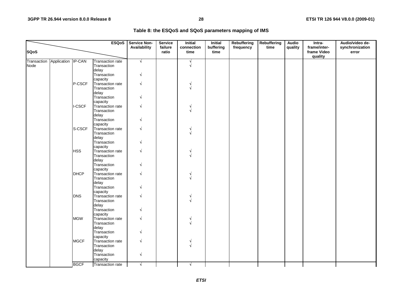| Table 8: the ESQoS and SQoS parameters mapping of IMS |  |
|-------------------------------------------------------|--|
|-------------------------------------------------------|--|

|                                        |  |             | <b>ESQoS</b>                           | <b>Service Non-</b><br>Availability | Service<br>failure | <b>Initial</b><br>connection | <b>Initial</b><br>buffering | <b>Rebuffering</b><br>frequency | Rebuffering<br>time | <b>Audio</b><br>quality | Intra-<br>frame/inter- | Audio/video de-<br>synchronization |
|----------------------------------------|--|-------------|----------------------------------------|-------------------------------------|--------------------|------------------------------|-----------------------------|---------------------------------|---------------------|-------------------------|------------------------|------------------------------------|
| <b>SQoS</b>                            |  |             |                                        |                                     | ratio              | time                         | time                        |                                 |                     |                         | frame Video<br>quality | error                              |
| Transaction Application IP-CAN<br>Node |  |             | <b>Transaction rate</b><br>Transaction | $\sqrt{}$                           |                    | N                            |                             |                                 |                     |                         |                        |                                    |
|                                        |  |             | delay                                  |                                     |                    |                              |                             |                                 |                     |                         |                        |                                    |
|                                        |  |             | Transaction                            | V                                   |                    |                              |                             |                                 |                     |                         |                        |                                    |
|                                        |  |             | capacity                               |                                     |                    |                              |                             |                                 |                     |                         |                        |                                    |
|                                        |  | P-CSCF      | Transaction rate                       | V                                   |                    |                              |                             |                                 |                     |                         |                        |                                    |
|                                        |  |             | Transaction                            |                                     |                    |                              |                             |                                 |                     |                         |                        |                                    |
|                                        |  |             | delay                                  |                                     |                    |                              |                             |                                 |                     |                         |                        |                                    |
|                                        |  |             | Transaction                            |                                     |                    |                              |                             |                                 |                     |                         |                        |                                    |
|                                        |  |             | capacity                               |                                     |                    |                              |                             |                                 |                     |                         |                        |                                    |
|                                        |  | I-CSCF      | Transaction rate                       | V                                   |                    |                              |                             |                                 |                     |                         |                        |                                    |
|                                        |  |             | Transaction                            |                                     |                    |                              |                             |                                 |                     |                         |                        |                                    |
|                                        |  |             | delay                                  |                                     |                    |                              |                             |                                 |                     |                         |                        |                                    |
|                                        |  |             | Transaction<br>capacity                |                                     |                    |                              |                             |                                 |                     |                         |                        |                                    |
|                                        |  | S-CSCF      | Transaction rate                       | V                                   |                    |                              |                             |                                 |                     |                         |                        |                                    |
|                                        |  |             | Transaction                            |                                     |                    |                              |                             |                                 |                     |                         |                        |                                    |
|                                        |  |             | delay                                  |                                     |                    |                              |                             |                                 |                     |                         |                        |                                    |
|                                        |  |             | Transaction                            |                                     |                    |                              |                             |                                 |                     |                         |                        |                                    |
|                                        |  |             | capacity                               |                                     |                    |                              |                             |                                 |                     |                         |                        |                                    |
|                                        |  | <b>HSS</b>  | Transaction rate                       | V                                   |                    |                              |                             |                                 |                     |                         |                        |                                    |
|                                        |  |             | Transaction                            |                                     |                    |                              |                             |                                 |                     |                         |                        |                                    |
|                                        |  |             | delay                                  |                                     |                    |                              |                             |                                 |                     |                         |                        |                                    |
|                                        |  |             | Transaction                            | N                                   |                    |                              |                             |                                 |                     |                         |                        |                                    |
|                                        |  |             | capacity                               |                                     |                    |                              |                             |                                 |                     |                         |                        |                                    |
|                                        |  | <b>DHCP</b> | Transaction rate                       | V                                   |                    |                              |                             |                                 |                     |                         |                        |                                    |
|                                        |  |             | Transaction                            |                                     |                    |                              |                             |                                 |                     |                         |                        |                                    |
|                                        |  |             | delay                                  |                                     |                    |                              |                             |                                 |                     |                         |                        |                                    |
|                                        |  |             | Transaction<br>capacity                |                                     |                    |                              |                             |                                 |                     |                         |                        |                                    |
|                                        |  | <b>DNS</b>  | Transaction rate                       | ٧                                   |                    |                              |                             |                                 |                     |                         |                        |                                    |
|                                        |  |             | Transaction                            |                                     |                    |                              |                             |                                 |                     |                         |                        |                                    |
|                                        |  |             | delay                                  |                                     |                    |                              |                             |                                 |                     |                         |                        |                                    |
|                                        |  |             | Transaction                            | V                                   |                    |                              |                             |                                 |                     |                         |                        |                                    |
|                                        |  |             | capacity                               |                                     |                    |                              |                             |                                 |                     |                         |                        |                                    |
|                                        |  | <b>MGW</b>  | Transaction rate                       | V                                   |                    |                              |                             |                                 |                     |                         |                        |                                    |
|                                        |  |             | Transaction                            |                                     |                    |                              |                             |                                 |                     |                         |                        |                                    |
|                                        |  |             | delay                                  |                                     |                    |                              |                             |                                 |                     |                         |                        |                                    |
|                                        |  |             | Transaction                            |                                     |                    |                              |                             |                                 |                     |                         |                        |                                    |
|                                        |  |             | capacity                               |                                     |                    |                              |                             |                                 |                     |                         |                        |                                    |
|                                        |  | <b>MGCF</b> | Transaction rate                       | V                                   |                    |                              |                             |                                 |                     |                         |                        |                                    |
|                                        |  |             | Transaction                            |                                     |                    |                              |                             |                                 |                     |                         |                        |                                    |
|                                        |  |             | delay                                  |                                     |                    |                              |                             |                                 |                     |                         |                        |                                    |
|                                        |  |             | Transaction<br>capacity                | V                                   |                    |                              |                             |                                 |                     |                         |                        |                                    |
|                                        |  | <b>BGCF</b> | <b>Transaction rate</b>                | $\sqrt{ }$                          |                    |                              |                             |                                 |                     |                         |                        |                                    |
|                                        |  |             |                                        |                                     |                    | N.                           |                             |                                 |                     |                         |                        |                                    |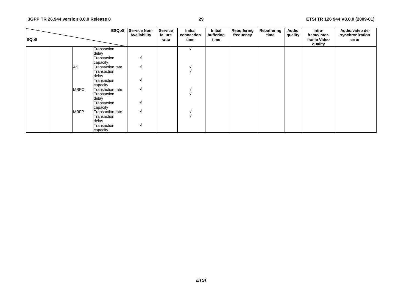| <b>SQoS</b> |             | <b>ESQoS</b>     | <b>Service Non-</b><br>Availability | <b>Service</b><br>failure<br>ratio | Initial<br>connection<br>time | Initial<br>buffering<br>time | Rebuffering<br>frequency | Rebuffering<br>time | <b>Audio</b><br>quality | Intra-<br>frame/inter-<br>frame Video<br>quality | Audio/video de-<br>synchronization<br>error |
|-------------|-------------|------------------|-------------------------------------|------------------------------------|-------------------------------|------------------------------|--------------------------|---------------------|-------------------------|--------------------------------------------------|---------------------------------------------|
|             |             | Transaction      |                                     |                                    |                               |                              |                          |                     |                         |                                                  |                                             |
|             |             | delay            |                                     |                                    |                               |                              |                          |                     |                         |                                                  |                                             |
|             |             | Transaction      |                                     |                                    |                               |                              |                          |                     |                         |                                                  |                                             |
|             |             | capacity         |                                     |                                    |                               |                              |                          |                     |                         |                                                  |                                             |
|             | AS          | Transaction rate |                                     |                                    |                               |                              |                          |                     |                         |                                                  |                                             |
|             |             | Transaction      |                                     |                                    |                               |                              |                          |                     |                         |                                                  |                                             |
|             |             | delay            |                                     |                                    |                               |                              |                          |                     |                         |                                                  |                                             |
|             |             | Transaction      | $\lambda$                           |                                    |                               |                              |                          |                     |                         |                                                  |                                             |
|             |             | capacity         |                                     |                                    |                               |                              |                          |                     |                         |                                                  |                                             |
|             | <b>MRFC</b> | Transaction rate |                                     |                                    |                               |                              |                          |                     |                         |                                                  |                                             |
|             |             | Transaction      |                                     |                                    |                               |                              |                          |                     |                         |                                                  |                                             |
|             |             | delay            |                                     |                                    |                               |                              |                          |                     |                         |                                                  |                                             |
|             |             | Transaction      |                                     |                                    |                               |                              |                          |                     |                         |                                                  |                                             |
|             |             | capacity         |                                     |                                    |                               |                              |                          |                     |                         |                                                  |                                             |
|             | <b>MRFP</b> | Transaction rate | A.                                  |                                    |                               |                              |                          |                     |                         |                                                  |                                             |
|             |             | Transaction      |                                     |                                    |                               |                              |                          |                     |                         |                                                  |                                             |
|             |             | delay            |                                     |                                    |                               |                              |                          |                     |                         |                                                  |                                             |
|             |             | Transaction      |                                     |                                    |                               |                              |                          |                     |                         |                                                  |                                             |
|             |             | capacity         |                                     |                                    |                               |                              |                          |                     |                         |                                                  |                                             |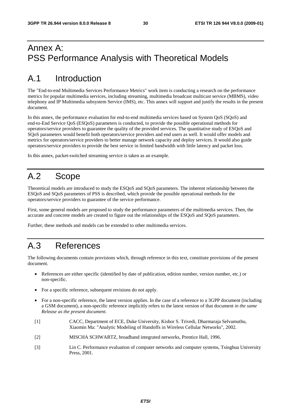## Annex A: PSS Performance Analysis with Theoretical Models

## A.1 Introduction

The "End-to-end Multimedia Services Performance Metrics" work item is conducting a research on the performance metrics for popular multimedia services, including streaming, multimedia broadcast multicast service (MBMS), video telephony and IP Multimedia subsystem Service (IMS), etc. This annex will support and justify the results in the present document.

In this annex, the performance evaluation for end-to-end multimedia services based on System QoS (SQoS) and end-to-End Service QoS (ESQoS) parameters is conducted, to provide the possible operational methods for operators/service providers to guarantee the quality of the provided services. The quantitative study of ESQoS and SQoS parameters would benefit both operators/service providers and end users as well. It would offer models and metrics for operators/service providers to better manage network capacity and deploy services. It would also guide operators/service providers to provide the best service in limited bandwidth with little latency and packet loss.

In this annex, packet-switched streaming service is taken as an example.

## A.2 Scope

Theoretical models are introduced to study the ESQoS and SQoS parameters. The inherent relationship between the ESQoS and SQoS parameters of PSS is described, which provide the possible operational methods for the operators/service providers to guarantee of the service performance.

First, some general models are proposed to study the performance parameters of the multimedia services. Then, the accurate and concrete models are created to figure out the relationships of the ESQoS and SQoS parameters.

Further, these methods and models can be extended to other multimedia services.

## A.3 References

The following documents contain provisions which, through reference in this text, constitute provisions of the present document.

- References are either specific (identified by date of publication, edition number, version number, etc.) or non-specific.
- For a specific reference, subsequent revisions do not apply.
- For a non-specific reference, the latest version applies. In the case of a reference to a 3GPP document (including a GSM document), a non-specific reference implicitly refers to the latest version of that document *in the same Release as the present document*.
- [1] CACC, Department of ECE, Duke University, Kishor S. Trivedi, Dharmaraja Selvamuthu, Xiaomin Ma: "Analytic Modeling of Handoffs in Wireless Cellular Networks", 2002.
- [2] MISCHA SCHWARTZ, broadband integrated networks, Prentice Hall, 1996.
- [3] Lin C. Performance evaluation of computer networks and computer systems, Tsinghua University Press, 2001.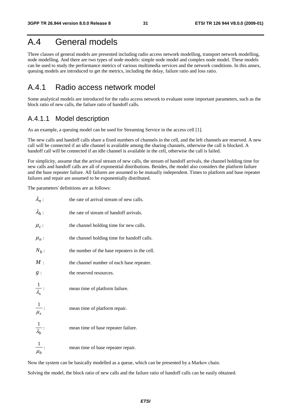## A.4 General models

Three classes of general models are presented including radio access network modelling, transport network modelling, node modelling. And there are two types of node models: simple node model and complex node model. These models can be used to study the performance metrics of various multimedia services and the network conditions. In this annex, queuing models are introduced to get the metrics, including the delay, failure ratio and loss ratio.

## A.4.1 Radio access network model

Some analytical models are introduced for the radio access network to evaluate some important parameters, such as the block ratio of new calls, the failure ratio of handoff calls.

### A.4.1.1 Model description

As an example, a queuing model can be used for Streaming Service in the access cell [1].

The new calls and handoff calls share a fixed numbers of channels in the cell, and the left channels are reserved. A new call will be connected if an idle channel is available among the sharing channels, otherwise the call is blocked. A handoff call will be connected if an idle channel is available in the cell, otherwise the call is failed.

For simplicity, assume that the arrival stream of new calls, the stream of handoff arrivals, the channel holding time for new calls and handoff calls are all of exponential distributions. Besides, the model also considers the platform failure and the base repeater failure. All failures are assumed to be mutually independent. Times to platform and base repeater failures and repair are assumed to be exponentially distributed.

The parameters' definitions are as follows:

| $\lambda_n$ :                 | the rate of arrival stream of new calls.      |
|-------------------------------|-----------------------------------------------|
| $\lambda_h$ :                 | the rate of stream of handoff arrivals.       |
| $\mu_c$ :                     | the channel holding time for new calls.       |
| $\mu_n$ :                     | the channel holding time for handoff calls.   |
| $N_b$ :                       | the number of the base repeaters in the cell. |
| M:                            | the channel number of each base repeater.     |
| g:                            | the reserved resources.                       |
| $\frac{1}{\lambda_s}$ :       | mean time of platform failure.                |
| $\frac{1}{\mu_s}$ :           | mean time of platform repair.                 |
| $\frac{1}{\lambda_b}$ :       | mean time of base repeater failure.           |
| $\vert$<br>$\overline{\mu_b}$ | mean time of base repeater repair.            |

Now the system can be basically modelled as a queue, which can be presented by a Markov chain.

Solving the model, the block ratio of new calls and the failure ratio of handoff calls can be easily obtained.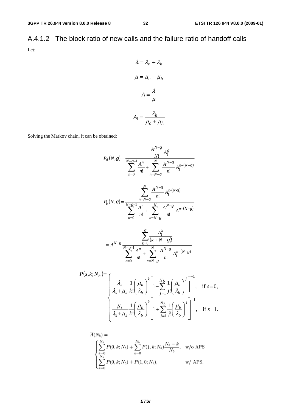A.4.1.2 The block ratio of new calls and the failure ratio of handoff calls Let:

$$
\lambda = \lambda_n + \lambda_h
$$

$$
\mu = \mu_c + \mu_h
$$

$$
A = \frac{\lambda}{\mu}
$$

$$
A_1 = \frac{\lambda_h}{\mu_c + \mu_h}
$$

Solving the Markov chain, it can be obtained:

$$
P_d(N,g) = \frac{A^{N-g}}{N!} A_1^g
$$
  
\n
$$
P_d(N,g) = \frac{A^{N-g-1}}{N!} A_1^m + \sum_{n=N-g}^{N} \frac{A^{N-g}}{n!} A_1^{n-(N-g)}
$$
  
\n
$$
P_b(N,g) = \frac{\sum_{n=N-g}^{N} A_1^{N-g}}{N!} A_1^{n-(N-g)}
$$
  
\n
$$
P_b(N,g) = \frac{\sum_{n=N-g}^{N} A_1^{N-g}}{n!} A_1^{n-(N-g)}
$$
  
\n
$$
= A^{N-g} \frac{\sum_{k=0}^{g} A_1^k}{(k+N-g)!}
$$
  
\n
$$
= A^{N-g} \frac{\sum_{n=0}^{g} A_1^k}{n!} + \sum_{n=N-g}^{N} \frac{A^{N-g}}{n!} A_1^{n-(N-g)}
$$
  
\n
$$
P(s,k;N_b) = \left[ \frac{\lambda_s}{\lambda_s + \mu_s} \frac{1}{k!} \left( \frac{\mu_b}{\lambda_b} \right)^k \left[ 1 + \sum_{j=1}^{N_b} \frac{1}{j!} \left( \frac{\mu_b}{\lambda_b} \right)^j \right]^{-1}, \text{ if } s = 0,
$$

$$
\begin{cases} \n\lambda_s + \mu_s \ k! \left( \lambda_b \right) \left[ \frac{\lambda_{j=1}^2 j! \left( \lambda_b \right) \right]^{-1}}{\lambda_s + \mu_s \ k! \left( \frac{\mu_b}{\lambda_b} \right)^k \left[ 1 + \sum_{j=1}^{N_b} \frac{1}{j!} \left( \frac{\mu_b}{\lambda_b} \right)^j \right]^{-1}, & \text{if } s = 1. \n\end{cases}
$$

$$
\overline{A}(N_b) = \begin{cases}\n\sum_{k=0}^{N_b} P(0, k; N_b) + \sum_{k=0}^{N_b} P(1, k; N_b) \frac{N_b - k}{N_b}, & \text{w/o APS} \\
\sum_{k=0}^{N_b} P(0, k; N_b) + P(1, 0; N_b), & \text{w/ APS.} \n\end{cases}
$$

*ETSI*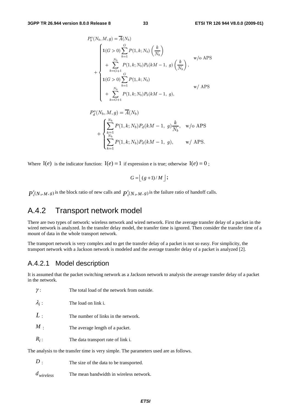$$
P_b^o(N_b, M, g) = \overline{A}(N_b)
$$
  
\n
$$
1(G > 0) \sum_{k=1}^G P(1, k; N_b) \left(\frac{k}{N_b}\right)
$$
  
\n
$$
+ \sum_{k=G+1}^{N_b} P(1, k; N_b) P_b(kM - 1, g) \left(\frac{k}{N_b}\right),
$$
  
\n
$$
1(G > 0) \sum_{k=1}^G P(1, k; N_b)
$$
  
\n
$$
+ \sum_{k=G+1}^{N_b} P(1, k; N_b) P_b(kM - 1, g),
$$
  
\n
$$
w / APS
$$

$$
P_d^o(N_b, M, g) = \overline{A}(N_b)
$$
  
+ 
$$
\begin{cases} \sum_{k=1}^{N_b} P(1, k; N_b) P_d(kM - 1, g) \frac{k}{N_b}, & \text{w/o APS} \\ \sum_{k=1}^{N_b} P(1, k; N_b) P_d(kM - 1, g), & \text{w/ APS.} \end{cases}
$$

Where  $I(e)$  is the indicator function:  $I(e) = 1$  if expression e is true; otherwise  $I(e) = 0$ ;

$$
G = \lfloor (g+1)/M \rfloor;
$$

0  $P_b^0(N_b, M, g)$  is the block ratio of new calls and  $P_a^0(N_b, M, g)$  is the failure ratio of handoff calls.

## A.4.2 Transport network model

There are two types of network: wireless network and wired network. First the average transfer delay of a packet in the wired network is analyzed. In the transfer delay model, the transfer time is ignored. Then consider the transfer time of a mount of data in the whole transport network.

The transport network is very complex and to get the transfer delay of a packet is not so easy. For simplicity, the transport network with a Jackson network is modeled and the average transfer delay of a packet is analyzed [2].

### A.4.2.1 Model description

It is assumed that the packet switching network as a Jackson network to analysis the average transfer delay of a packet in the network.

|                                                                                       | ,,            | THE total load of the network from outside. |  |  |  |  |
|---------------------------------------------------------------------------------------|---------------|---------------------------------------------|--|--|--|--|
|                                                                                       | $\lambda_i$ : | The load on link i.                         |  |  |  |  |
|                                                                                       | L:            | The number of links in the network.         |  |  |  |  |
|                                                                                       | $M$ .         | The average length of a packet.             |  |  |  |  |
|                                                                                       | $R_i$ :       | The data transport rate of link i.          |  |  |  |  |
| The analysis to the transfer time is very simple. The parameters used are as follows. |               |                                             |  |  |  |  |

*D* : The size of the data to be transported.

*dwireless* The mean bandwidth in wireless network.

γ : The total load of the network from outside.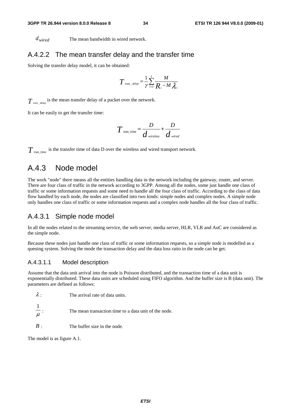*dwired* The mean bandwidth in wired network.

#### A.4.2.2 The mean transfer delay and the transfer time

Solving the transfer delay model, it can be obtained:

$$
T_{\text{tran\_delay}} = \frac{1}{\gamma} \sum_{i=1}^{L} \frac{M}{R_i - M \lambda_i}
$$

 $T_{\textit{tran\_delay}}$  is the mean transfer delay of a packet over the network.

It can be easily to get the transfer time:

$$
T_{\text{tran\_time}} = \frac{D}{d_{\text{wireless}}} + \frac{D}{d_{\text{wired}}}
$$

 $T_{\text{tran time}}$  is the transfer time of data D over the wireless and wired transport network.

### A.4.3 Node model

The work "node" there means all the entities handling data in the network including the gateway, router, and server. There are four class of traffic in the network according to 3GPP. Among all the nodes, some just handle one class of traffic or some information requests and some need to handle all the four class of traffic. According to the class of data flow handled by each node, the nodes are classified into two kinds: simple nodes and complex nodes. A simple node only handles one class of traffic or some information requests and a complex node handles all the four class of traffic.

#### A.4.3.1 Simple node model

In all the nodes related to the streaming service, the web server, media server, HLR, VLR and AuC are considered as the simple node.

Because these nodes just handle one class of traffic or some information requests, so a simple node is modelled as a queuing system. Solving the mode the transaction delay and the data loss ratio in the node can be get.

#### A.4.3.1.1 Model description

Assume that the data unit arrival into the node is Poisson distributed, and the transaction time of a data unit is exponentially distributed. These data units are scheduled using FIFO algorithm. And the buffer size is B (data unit). The parameters are defined as follows:

| $\lambda$ : | The arrival rate of data units. |
|-------------|---------------------------------|
|             |                                 |

μ 1 The mean transaction time to a data unit of the node.

*B* : The buffer size in the node.

The model is as figure A.1.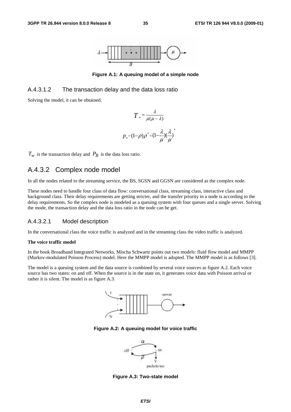

**Figure A.1: A queuing model of a simple node** 

#### A.4.3.1.2 The transaction delay and the data loss ratio

Solving the model, it can be obtained.

$$
T = \frac{\lambda}{\mu(\mu - \lambda)}
$$

$$
p_{B} = (1 - \rho)\rho^{B} = (1 - \frac{\lambda}{\mu})(\frac{\lambda}{\mu})
$$

*B*

 $T_w$  is the transaction delay and  $P_B$  is the data loss ratio.

### A.4.3.2 Complex node model

In all the nodes related to the streaming service, the BS, SGSN and GGSN are considered as the complex node.

These nodes need to handle four class of data flow: conversational class, streaming class, interactive class and background class. Their delay requirements are getting stricter, and the transfer priority in a node is according to the delay requirements. So the complex node is modeled as a queuing system with four queues and a single server. Solving the mode, the transaction delay and the data loss ratio in the node can be get.

#### A.4.3.2.1 Model description

In the conversational class the voice traffic is analyzed and in the streaming class the video traffic is analyzed.

#### **The voice traffic model**

In the book Broadband Integrated Networks, Mischa Schwartz points out two models: fluid flow model and MMPP (Markov-modulated Poisson Process) model. Here the MMPP model is adopted. The MMPP model is as follows [3].

The model is a queuing system and the data source is combined by several voice sources as figure A.2. Each voice source has two states: on and off. When the source is in the state on, it generates voice data with Poisson arrival or rather it is silent. The model is as figure A.3.



**Figure A.2: A queuing model for voice traffic** 



**Figure A.3: Two-state model**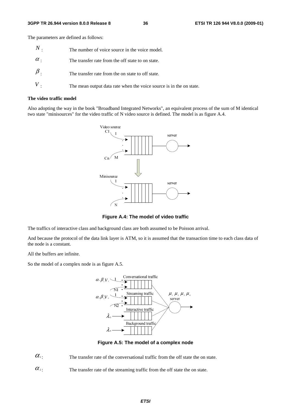The parameters are defined as follows:

| $\,N$ .    | The number of voice source in the voice model.                      |
|------------|---------------------------------------------------------------------|
| $\alpha$ . | The transfer rate from the off state to on state.                   |
| $\beta$ .  | The transfer rate from the on state to off state.                   |
|            | The mean output data rate when the voice source is in the on state. |

#### **The video traffic model**

Also adopting the way in the book "Broadband Integrated Networks", an equivalent process of the sum of M identical two state "minisources" for the video traffic of N video source is defined. The model is as figure A.4.



**Figure A.4: The model of video traffic** 

The traffics of interactive class and background class are both assumed to be Poisson arrival.

And because the protocol of the data link layer is ATM, so it is assumed that the transaction time to each class data of the node is a constant.

All the buffers are infinite.

So the model of a complex node is as figure A.5.



**Figure A.5: The model of a complex node** 

 $\alpha_1$ : The transfer rate of the conversational traffic from the off state the on state.

 $\alpha$ <sup>2</sup>: The transfer rate of the streaming traffic from the off state the on state.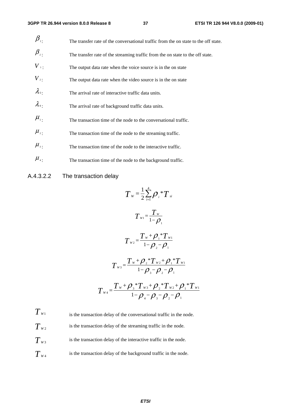| $\beta_{\scriptscriptstyle{\overline{1}}}$ . | The transfer rate of the conversational traffic from the on state to the off state. |
|----------------------------------------------|-------------------------------------------------------------------------------------|
| $\beta_{\scriptscriptstyle 2}$               | The transfer rate of the streaming traffic from the on state to the off state.      |
| $V_{\perp}$                                  | The output data rate when the voice source is in the on state                       |
| $V_{2}$ .                                    | The output data rate when the video source is in the on state                       |
| $\lambda_{3}$                                | The arrival rate of interactive traffic data units.                                 |
| $\lambda_{4}$                                | The arrival rate of background traffic data units.                                  |
| $\mu_{\scriptscriptstyle 1}$ .               | The transaction time of the node to the conversational traffic.                     |
| $\mu_{\scriptscriptstyle 2}$ .               | The transaction time of the node to the streaming traffic.                          |
| $\mu_{\scriptscriptstyle 3}$ .               | The transaction time of the node to the interactive traffic.                        |
| $\mu_{\scriptscriptstyle 4}$ .               | The transaction time of the node to the background traffic.                         |

### A.4.3.2.2 The transaction delay

$$
T_{w} = \frac{1}{2} \sum_{i=1}^{4} \rho_{i} {}^{*}T_{si}
$$
\n
$$
T_{w1} = \frac{T_{w}}{1 - \rho_{1}}
$$
\n
$$
T_{w2} = \frac{T_{w} + \rho_{1} {}^{*}T_{w1}}{1 - \rho_{2} - \rho_{1}}
$$
\n
$$
T_{w3} = \frac{T_{w} + \rho_{2} {}^{*}T_{w2} + \rho_{1} {}^{*}T_{w1}}{1 - \rho_{3} - \rho_{2} - \rho_{1}}
$$
\n
$$
T_{w4} = \frac{T_{w} + \rho_{3} {}^{*}T_{w3} + \rho_{2} {}^{*}T_{w2} + \rho_{1} {}^{*}T_{w1}}{1 - \rho_{4} - \rho_{3} - \rho_{2} - \rho_{1}}
$$

 $T_{W1}$  is the transaction delay of the conversational traffic in the node.  $T_{W2}$  is the transaction delay of the streaming traffic in the node.  $T_{w3}$  is the transaction delay of the interactive traffic in the node.  $T_{w_4}$  is the transaction delay of the background traffic in the node.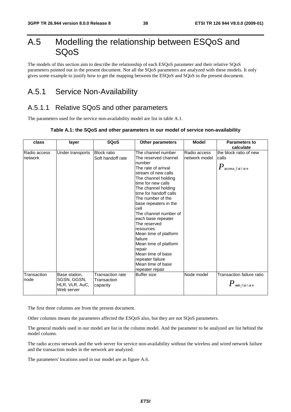## A.5 Modelling the relationship between ESQoS and SQoS

The models of this section aim to describe the relationship of each ESQoS parameter and their relative SQoS parameters pointed out in the present document. Not all the SQoS parameters are analyzed with these models. It only gives some example to justify how to get the mapping between the ESQoS and SQoS in the present document.

## A.5.1 Service Non-Availability

### A.5.1.1 Relative SQoS and other parameters

The parameters used for the service non-availability model are list in table A.1.

#### **Table A.1: the SQoS and other parameters in our model of service non-availability**

| class        | layer            | <b>SQoS</b>        | <b>Other parameters</b> | <b>Model</b>  | <b>Parameters to</b>             |
|--------------|------------------|--------------------|-------------------------|---------------|----------------------------------|
|              |                  |                    |                         |               | calculate                        |
| Radio access | Under transports | <b>Block</b> ratio | The channel number      | Radio access  | the block ratio of new           |
| network      |                  | Soft handoff rate  | The reserved channel    | network model | calls                            |
|              |                  |                    | number                  |               |                                  |
|              |                  |                    | The rate of arrival     |               | $P_{\,\rm access\_fail}$ ure     |
|              |                  |                    | stream of new calls     |               |                                  |
|              |                  |                    | The channel holding     |               |                                  |
|              |                  |                    | time for new calls      |               |                                  |
|              |                  |                    | The channel holding     |               |                                  |
|              |                  |                    | time for handoff calls  |               |                                  |
|              |                  |                    | The number of the       |               |                                  |
|              |                  |                    | base repeaters in the   |               |                                  |
|              |                  |                    | cell                    |               |                                  |
|              |                  |                    | The channel number of   |               |                                  |
|              |                  |                    | each base repeater      |               |                                  |
|              |                  |                    | The reserved            |               |                                  |
|              |                  |                    | resources               |               |                                  |
|              |                  |                    | Mean time of platform   |               |                                  |
|              |                  |                    | failure                 |               |                                  |
|              |                  |                    | Mean time of platform   |               |                                  |
|              |                  |                    | repair                  |               |                                  |
|              |                  |                    | Mean time of base       |               |                                  |
|              |                  |                    | repeater failure        |               |                                  |
|              |                  |                    | Mean time of base       |               |                                  |
|              |                  |                    | repeater repair         |               |                                  |
| Transaction  | Base station,    | Transaction rate   | <b>Buffer</b> size      | Node model    | <b>Transaction failure ratio</b> |
| node         | SGSN, GGSN,      | Transaction        |                         |               |                                  |
|              | HLR, VLR, AuC,   | capacity           |                         |               | $\pmb{P}$ web_failure            |
|              | Web server       |                    |                         |               |                                  |
|              |                  |                    |                         |               |                                  |

The first three columns are from the present document.

Other columns means the parameters affected the ESQoS also, but they are not SQoS parameters.

The general models used in our model are list in the column model. And the parameter to be analyzed are list behind the model column.

The radio access network and the web server for service non-availability without the wireless and wired network failure and the transaction nodes in the network are analyzed.

The parameters' locations used in our model are as figure A.6.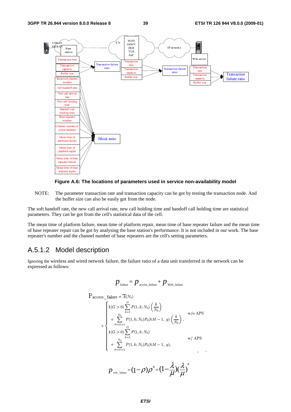



NOTE: The parameter transaction rate and transaction capacity can be got by testing the transaction node. And the buffer size can also be easily got from the node.

The soft handoff rate, the new call arrival rate, new call holding time and handoff call holding time are statistical parameters. They can be got from the cell's statistical data of the cell.

The mean time of platform failure, mean time of platform repair, mean time of base repeater failure and the mean time of base repeater repair can be got by analysing the base station's performance. It is not included in our work. The base repeater's number and the channel number of base repeaters are the cell's setting parameters.

### A.5.1.2 Model description

Ignoring the wireless and wired network failure, the failure ratio of a data unit transferred in the network can be expressed as follows:

$$
p_{\text{failure}} = p_{\text{access\_failure}} + p_{\text{web\_failure}}
$$

$$
P_{access\_failure} = \overline{A}(N_b)
$$
\n
$$
+ \begin{cases}\n1(G > 0) \sum_{k=1}^{G} P(1, k; N_b) \left(\frac{k}{N_b}\right) & \text{w/o APS} \\
+ \sum_{k=G+1}^{N_b} P(1, k; N_b) P_b(kM - 1, g) \left(\frac{k}{N_b}\right), & \text{w/o APS} \\
1(G > 0) \sum_{k=1}^{G} P(1, k; N_b) & \text{w/ APS} \\
+ \sum_{k=G+1}^{N_b} P(1, k; N_b) P_b(kM - 1, g), & \text{w/ APS}\n\end{cases}
$$

$$
p_{\text{web\_failure}} = (1 - \rho)\rho^B = (1 - \frac{\lambda}{\mu})(\frac{\lambda}{\mu})^B
$$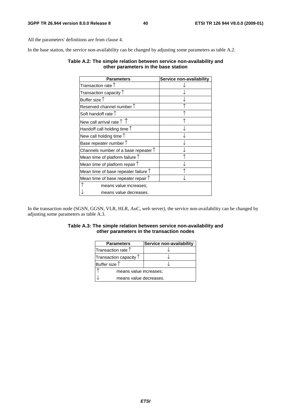All the parameters' definitions are from clause 4.

In the base station, the service non-availability can be changed by adjusting some parameters as table A.2.

#### **Table A.2: The simple relation between service non-availability and other parameters in the base station**

| <b>Parameters</b>                             | Service non-availability |
|-----------------------------------------------|--------------------------|
| Transaction rate $\uparrow$                   |                          |
| Transaction capacity $\uparrow$               |                          |
| Buffer size $\uparrow$                        |                          |
| Reserved channel number $\uparrow$            |                          |
| Soft handoff rate $\uparrow$                  |                          |
| New call arrival rate $\uparrow \uparrow$     |                          |
| Handoff call holding time $\uparrow$          |                          |
| New call holding time $\uparrow$              |                          |
| Base repeater number 1                        |                          |
| Channels number of a base repeater $\uparrow$ |                          |
| Mean time of platform failure $\uparrow$      |                          |
| Mean time of platform repair $\uparrow$       |                          |
| Mean time of base repeater failure $\uparrow$ |                          |
| Mean time of base repeater repair $\uparrow$  |                          |
| means value increases;                        |                          |
| means value decreases.                        |                          |

In the transaction node (SGSN, GGSN, VLR, HLR, AuC, web server), the service non-availability can be changed by adjusting some parameters as table A.3.

#### **Table A.3: The simple relation between service non-availability and other parameters in the transaction nodes**

| <b>Parameters</b>               | Service non-availability |  |
|---------------------------------|--------------------------|--|
| Transaction rate $†$            |                          |  |
| Transaction capacity $\uparrow$ |                          |  |
| Buffer size $\uparrow$          |                          |  |
| means value increases;          |                          |  |
| means value decreases.          |                          |  |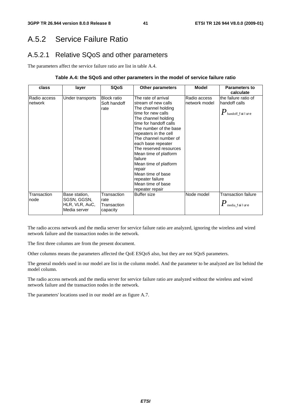## A.5.2 Service Failure Ratio

## A.5.2.1 Relative SQoS and other parameters

The parameters affect the service failure ratio are list in table A.4.

#### **Table A.4: the SQoS and other parameters in the model of service failure ratio**

| class                   | layer                                                          | <b>SQoS</b>                                    | <b>Other parameters</b>                                                                                                                                                                                                                                                                                                                                                                                                      | <b>Model</b>                  | <b>Parameters to</b><br>calculate                                           |
|-------------------------|----------------------------------------------------------------|------------------------------------------------|------------------------------------------------------------------------------------------------------------------------------------------------------------------------------------------------------------------------------------------------------------------------------------------------------------------------------------------------------------------------------------------------------------------------------|-------------------------------|-----------------------------------------------------------------------------|
| Radio access<br>network | Under transports                                               | <b>Block ratio</b><br>Soft handoff<br>rate     | The rate of arrival<br>stream of new calls<br>The channel holding<br>time for new calls<br>The channel holding<br>time for handoff calls<br>The number of the base<br>repeaters in the cell<br>The channel number of<br>each base repeater<br>The reserved resources<br>Mean time of platform<br>failure<br>Mean time of platform<br>repair<br>Mean time of base<br>repeater failure<br>Mean time of base<br>repeater repair | Radio access<br>network model | the failure ratio of<br>handoff calls<br>$\pmb{P}_\text{handoff\_f}$ ailure |
| Transaction<br>node     | Base station,<br>SGSN, GGSN,<br>HLR, VLR, AuC,<br>Media server | Transaction<br>rate<br>Transaction<br>capacity | Buffer size                                                                                                                                                                                                                                                                                                                                                                                                                  | Node model                    | <b>Transaction failure</b><br>$\pmb{P}$ media_failure                       |

The radio access network and the media server for service failure ratio are analyzed, ignoring the wireless and wired network failure and the transaction nodes in the network.

The first three columns are from the present document.

Other columns means the parameters affected the QoE ESQoS also, but they are not SQoS parameters.

The general models used in our model are list in the column model. And the parameter to be analyzed are list behind the model column.

The radio access network and the media server for service failure ratio are analyzed without the wireless and wired network failure and the transaction nodes in the network.

The parameters' locations used in our model are as figure A.7.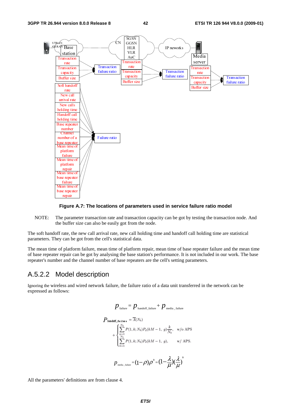

#### **Figure A.7: The locations of parameters used in service failure ratio model**

NOTE: The parameter transaction rate and transaction capacity can be got by testing the transaction node. And the buffer size can also be easily got from the node.

The soft handoff rate, the new call arrival rate, new call holding time and handoff call holding time are statistical parameters. They can be got from the cell's statistical data.

The mean time of platform failure, mean time of platform repair, mean time of base repeater failure and the mean time of base repeater repair can be got by analysing the base station's performance. It is not included in our work. The base repeater's number and the channel number of base repeaters are the cell's setting parameters.

#### A.5.2.2 Model description

Ignoring the wireless and wired network failure, the failure ratio of a data unit transferred in the network can be expressed as follows:

$$
p_{\text{failure}} = p_{\text{handoff\_failure}} + p_{\text{median\_failure}}
$$
\n
$$
P_{\text{handoff\_failure}} = \overline{A}(N_b)
$$
\n
$$
+ \begin{cases} \sum_{k=1}^{N_b} P(1, k; N_b) P_d(kM - 1, g) \frac{k}{N_b}, & \text{w/o APS.} \\ \sum_{k=1}^{N_b} P(1, k; N_b) P_d(kM - 1, g), & \text{w/APS.} \end{cases}
$$
\n
$$
p_{\text{median}} = (1 - \rho)\rho^B = (1 - \frac{\lambda}{\mu})(\frac{\lambda}{\mu})^B
$$

All the parameters' definitions are from clause 4.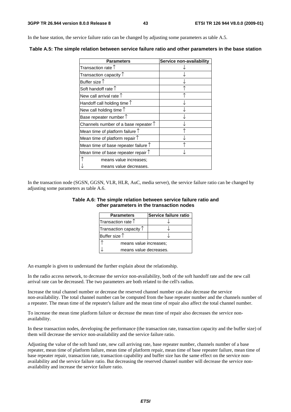In the base station, the service failure ratio can be changed by adjusting some parameters as table A.5.

| <b>Parameters</b>                             | Service non-availability |
|-----------------------------------------------|--------------------------|
| Transaction rate $\uparrow$                   |                          |
| Transaction capacity $\uparrow$               |                          |
| Buffer size $\uparrow$                        |                          |
| Soft handoff rate $\uparrow$                  |                          |
| New call arrival rate $\uparrow$              |                          |
| Handoff call holding time $\uparrow$          |                          |
| New call holding time $\uparrow$              |                          |
| Base repeater number 1                        |                          |
| Channels number of a base repeater $\uparrow$ |                          |
| Mean time of platform failure $\uparrow$      |                          |
| Mean time of platform repair $\uparrow$       |                          |
| Mean time of base repeater failure $\uparrow$ |                          |
| Mean time of base repeater repair $\uparrow$  |                          |
| means value increases;                        |                          |
| means value decreases.                        |                          |

**Table A.5: The simple relation between service failure ratio and other parameters in the base station** 

In the transaction node (SGSN, GGSN, VLR, HLR, AuC, media server), the service failure ratio can be changed by adjusting some parameters as table A.6.

#### **Table A.6: The simple relation between service failure ratio and other parameters in the transaction nodes**

| <b>Parameters</b>               | Service failure ratio |  |
|---------------------------------|-----------------------|--|
| Transaction rate $\uparrow$     |                       |  |
| Transaction capacity $\uparrow$ |                       |  |
| Buffer size $\uparrow$          |                       |  |
| means value increases;          |                       |  |
| means value decreases.          |                       |  |

An example is given to understand the further explain about the relationship.

In the radio access network, to decrease the service non-availability, both of the soft handoff rate and the new call arrival rate can be decreased. The two parameters are both related to the cell's radius.

Increase the total channel number or decrease the reserved channel number can also decrease the service non-availability. The total channel number can be computed from the base repeater number and the channels number of a repeater. The mean time of the repeater's failure and the mean time of repair also affect the total channel number.

To increase the mean time platform failure or decrease the mean time of repair also decreases the service nonavailability.

In these transaction nodes, developing the performance (the transaction rate, transaction capacity and the buffer size) of them will decrease the service non-availability and the service failure ratio.

Adjusting the value of the soft hand rate, new call arriving rate, base repeater number, channels number of a base repeater, mean time of platform failure, mean time of platform repair, mean time of base repeater failure, mean time of base repeater repair, transaction rate, transaction capability and buffer size has the same effect on the service nonavailability and the service failure ratio. But decreasing the reserved channel number will decrease the service nonavailability and increase the service failure ratio.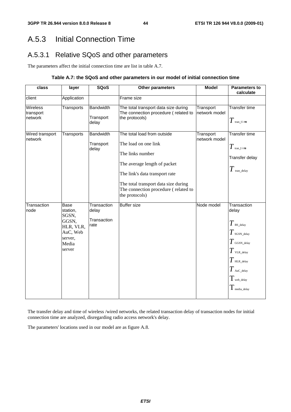## A.5.3 Initial Connection Time

## A.5.3.1 Relative SQoS and other parameters

The parameters affect the initial connection time are list in table A.7.

#### **Table A.7: the SQoS and other parameters in our model of initial connection time**

| class                            | layer                                                                                     | SQoS                                        | Other parameters                                                                                                                                                                                                                            | <b>Model</b>               | <b>Parameters to</b><br>calculate                                                                                                                                     |
|----------------------------------|-------------------------------------------------------------------------------------------|---------------------------------------------|---------------------------------------------------------------------------------------------------------------------------------------------------------------------------------------------------------------------------------------------|----------------------------|-----------------------------------------------------------------------------------------------------------------------------------------------------------------------|
| client                           | Application                                                                               |                                             | Frame size                                                                                                                                                                                                                                  |                            |                                                                                                                                                                       |
| Wireless<br>transport<br>network | Transports                                                                                | <b>Bandwidth</b><br>Transport<br>delay      | The total transport data size during<br>The connection procedure (related to<br>the protocols)                                                                                                                                              | Transport<br>network model | Transfer time<br>$T$ tran_t i me                                                                                                                                      |
| Wired transport<br>network       | Transports                                                                                | <b>Bandwidth</b><br>Transport<br>delay      | The total load from outside<br>The load on one link<br>The links number<br>The average length of packet<br>The link's data transport rate<br>The total transport data size during<br>The connection procedure (related to<br>the protocols) | Transport<br>network model | <b>Transfer time</b><br>$T$ tran_t i me<br>Transfer delay<br>$T$ tran_delay                                                                                           |
| Transaction<br>node              | Base<br>station,<br>SGSN,<br>GGSN,<br>HLR, VLR,<br>AuC, Web<br>server,<br>Media<br>server | Transaction<br>delay<br>Transaction<br>rate | <b>Buffer size</b>                                                                                                                                                                                                                          | Node model                 | Transaction<br>delay<br>$T$ BS_delay<br>$T$ sgsn_delay<br>$T$ GGSN_delay<br>$T$ vlr._delay<br>$T$ HLR_delay<br>$T$ AuC_delay<br>$T_{\rm web\_delay}$<br>T media_delay |

The transfer delay and time of wireless /wired networks, the related transaction delay of transaction nodes for initial connection time are analyzed, disregarding radio access network's delay.

The parameters' locations used in our model are as figure A.8.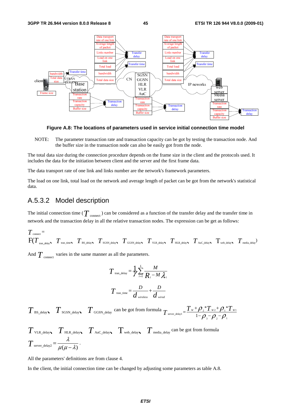

**Figure A.8: The locations of parameters used in service initial connection time model** 

NOTE: The parameter transaction rate and transaction capacity can be got by testing the transaction node. And the buffer size in the transaction node can also be easily got from the node.

The total data size during the connection procedure depends on the frame size in the client and the protocols used. It includes the data for the initiation between client and the server and the first frame data.

The data transport rate of one link and links number are the network's framework parameters.

The load on one link, total load on the network and average length of packet can be got from the network's statistical data.

#### A.5.3.2 Model description

The initial connection time ( $T$  <sub>connect</sub>) can be considered as a function of the transfer delay and the transfer time in network and the transaction delay in all the relative transaction nodes. The expression can be get as follows:

$$
T_{\text{connect}} = \nF(T_{\text{tran\_delay}}, T_{\text{tran\_time}}, T_{\text{BS\_delay}}, T_{\text{SGSN\_delay}}, T_{\text{GGSN\_delay}}, T_{\text{VLR\_delay}}, T_{\text{HL\_delay}}, T_{\text{Auc\_delay}}, T_{\text{web\_delay}}, T_{\text{median}})
$$

And  $T_{\text{connect}}$  varies in the same manner as all the parameters.

$$
T_{\text{tran\_delay}} = \frac{1}{\gamma} \sum_{i=1}^{L} \frac{M}{R_i - M \lambda_i}
$$

$$
T_{\text{tran\_time}} = \frac{D}{d_{\text{wireless}}} + \frac{D}{d_{\text{wire}}
$$

 $T$ <sub>BS\_delay  $T$ <sub>SGSN\_delay</sub>  $T$ <sub>GGSN\_delay</sub> can be got from formula  $T$ <sub>server\_delay1</sub> =  $\frac{T_w + \rho_z * T_{w_2} + \rho_1 * T_{w_1}}{1 - \rho_z - \rho_z - \rho_z}$ </sub> 3  $\mu_2$   $\mu_1$  $T_{w_2}$ +  $Q^*$  $T_{\text{server\_delay1}} = \frac{T_w + \rho_{2} * T_{w2} + \rho_{1} * T_w}{1 - \rho_{3} - \rho_{2} - \rho_{1}}$ 

$$
T_{\text{VLR\_delay}} \sum_{\text{HLR\_delay}} T_{\text{Auc\_delay}} \sum_{\text{web\_delay}} T_{\text{median}} \sum_{\text{c} \text{mean}} \sum_{\text{c} \text{norm formula}} T_{\text{Sover\_delay}} = \frac{\lambda}{\mu(\mu - \lambda)}.
$$

All the parameters' definitions are from clause 4.

In the client, the initial connection time can be changed by adjusting some parameters as table A.8.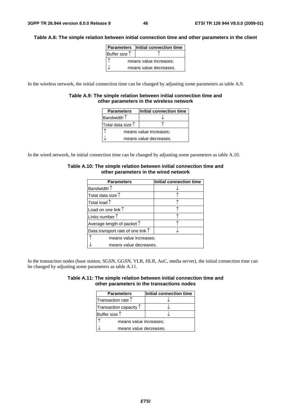#### **Table A.8: The simple relation between initial connection time and other parameters in the client**

|                        | Parameters   Initial connection time |
|------------------------|--------------------------------------|
| Buffer size $\uparrow$ |                                      |
|                        | means value increases:               |
|                        | means value decreases.               |

In the wireless network, the initial connection time can be changed by adjusting some parameters as table A.9.

#### **Table A.9: The simple relation between initial connection time and other parameters in the wireless network**

| <b>Parameters</b>          | Initial connection time |  |
|----------------------------|-------------------------|--|
| Bandwidth $\uparrow$       |                         |  |
| Total data size $\uparrow$ |                         |  |
| means value increases;     |                         |  |
| means value decreases.     |                         |  |

In the wired network, he initial connection time can be changed by adjusting some parameters as table A.10.

| <b>Parameters</b>                          | Initial connection time |  |
|--------------------------------------------|-------------------------|--|
| Bandwidth $\uparrow$                       |                         |  |
| Total data size $\uparrow$                 |                         |  |
| Total load $\uparrow$                      |                         |  |
| Load on one link $\uparrow$                |                         |  |
| Links number $\mathop\uparrow$             |                         |  |
| Average length of packet $\uparrow$        |                         |  |
| Data transport rate of one link $\uparrow$ |                         |  |
| means value increases;                     |                         |  |
| means value decreases.                     |                         |  |

#### **Table A.10: The simple relation between initial connection time and other parameters in the wired network**

In the transaction nodes (base station, SGSN, GGSN, VLR, HLR, AuC, media server), the initial connection time can be changed by adjusting some parameters as table A.11.

| Table A.11: The simple relation between initial connection time and |                                            |  |
|---------------------------------------------------------------------|--------------------------------------------|--|
|                                                                     | other parameters in the transactions nodes |  |

| <b>Parameters</b>               | Initial connection time |  |
|---------------------------------|-------------------------|--|
| Transaction rate $†$            |                         |  |
| Transaction capacity $\uparrow$ |                         |  |
| Buffer size $\uparrow$          |                         |  |
| means value increases;          |                         |  |
| means value decreases.          |                         |  |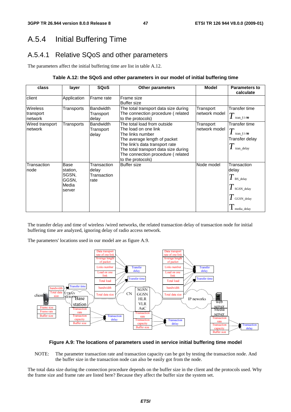## A.5.4 Initial Buffering Time

### A.5.4.1 Relative SQoS and other parameters

The parameters affect the initial buffering time are list in table A.12.

#### **Table A.12: the SQoS and other parameters in our model of initial buffering time**

| class                                   | layer                                                        | <b>SQoS</b>                                 | <b>Other parameters</b>                                                                                                                                                                                                                     | <b>Model</b>               | <b>Parameters to</b><br>calculate                                                                   |
|-----------------------------------------|--------------------------------------------------------------|---------------------------------------------|---------------------------------------------------------------------------------------------------------------------------------------------------------------------------------------------------------------------------------------------|----------------------------|-----------------------------------------------------------------------------------------------------|
| client                                  | Application                                                  | Frame rate                                  | Frame size<br><b>Buffer size</b>                                                                                                                                                                                                            |                            |                                                                                                     |
| <b>Wireless</b><br>transport<br>network | Transports                                                   | <b>Bandwidth</b><br>Transport<br>delay      | The total transport data size during<br>The connection procedure (related<br>to the protocols)                                                                                                                                              | Transport<br>network model | Transfer time<br>$T$ tran_t i me                                                                    |
| <b>Wired transport</b><br>network       | Transports                                                   | <b>Bandwidth</b><br>Transport<br>delay      | The total load from outside<br>The load on one link<br>The links number<br>The average length of packet<br>The link's data transport rate<br>The total transport data size during<br>The connection procedure (related<br>to the protocols) | Transport<br>network model | Transfer time<br>$T$ tran_t i me<br>Transfer delay<br>$\mathbf{I}$ tran delay                       |
| Transaction<br>node                     | <b>Base</b><br>station,<br>SGSN,<br>GGSN,<br>Media<br>server | Transaction<br>delay<br>Transaction<br>rate | <b>Buffer size</b>                                                                                                                                                                                                                          | Node model                 | Transaction<br>delay<br>$T$ BS delay<br>$T$ SGSN_delay<br>$T$ GGSN_delay<br>$\mathbf 1$ media_delay |

The transfer delay and time of wireless /wired networks, the related transaction delay of transaction node for initial buffering time are analyzed, ignoring delay of radio access network.

The parameters' locations used in our model are as figure A.9.



#### **Figure A.9: The locations of parameters used in service initial buffering time model**

NOTE: The parameter transaction rate and transaction capacity can be got by testing the transaction node. And the buffer size in the transaction node can also be easily got from the node.

The total data size during the connection procedure depends on the buffer size in the client and the protocols used. Why the frame size and frame rate are listed here? Because they affect the buffer size the system set.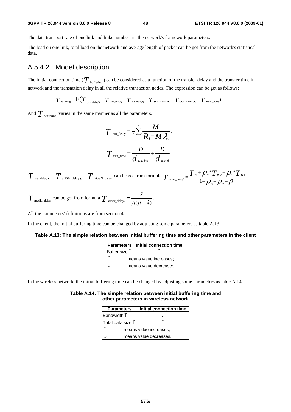#### **3GPP TR 26.944 version 8.0.0 Release 8 48 ETSI TR 126 944 V8.0.0 (2009-01)**

The data transport rate of one link and links number are the network's framework parameters.

The load on one link, total load on the network and average length of packet can be got from the network's statistical data.

### A.5.4.2 Model description

The initial connection time ( $T_{\text{buffering}}$ ) can be considered as a function of the transfer delay and the transfer time in network and the transaction delay in all the relative transaction nodes. The expression can be get as follows:

 $T_{\text{buffering}} = \text{F}(T_{\text{tran delay}} \mid T_{\text{tran time}} \mid T_{\text{BS delay}} \mid T_{\text{SGSN delay}} \mid T_{\text{GGSN delay}} \mid T_{\text{median}})$ 

And  $T_{\text{buffering}}$  varies in the same manner as all the parameters.

$$
T_{\text{tran\_delay}} = \frac{1}{\gamma} \sum_{i=1}^{L} \frac{M}{R_i - M \lambda_i}.
$$

$$
T_{\text{tran\_time}} = \frac{D}{d_{\text{wireless}}} + \frac{D}{d_{\text{wireed}}}
$$

 $T$  BS\_delay  $T$  SGSN\_delay  $T$  GGSN\_delay can be got from formula  $T$  server\_delay1 =  $\frac{T_W + \rho_2 T_W + \rho_1 T_W}{1 - \rho_1 - \rho_2}$ 3  ${\cal F}$  2  ${\cal F}$  1  $*T_{w}$ + $\mathcal{O}.*$  $T_{\text{server\_delay1}} = \frac{T_w + \rho_{_2} * T_{w_2} + \rho_{_1} * T_w}{1 - \rho_{_3} - \rho_{_2} - \rho_{_1}}$ 

$$
T_{\text{median}}
$$
 can be got from formula  $T_{\text{server\_delay2}} = \frac{\lambda}{\mu(\mu - \lambda)}$ .

All the parameters' definitions are from section 4.

In the client, the initial buffering time can be changed by adjusting some parameters as table A.13.

#### **Table A.13: The simple relation between initial buffering time and other parameters in the client**

|                        | <b>Parameters</b> Initial connection time |
|------------------------|-------------------------------------------|
| Buffer size $\uparrow$ |                                           |
|                        | means value increases;                    |
|                        | means value decreases.                    |

In the wireless network, the initial buffering time can be changed by adjusting some parameters as table A.14.

#### **Table A.14: The simple relation between initial buffering time and other parameters in wireless network**

| <b>Parameters</b>          | Initial connection time |  |  |  |
|----------------------------|-------------------------|--|--|--|
| Bandwidth $\uparrow$       |                         |  |  |  |
| Total data size $\uparrow$ |                         |  |  |  |
| means value increases;     |                         |  |  |  |
|                            | means value decreases.  |  |  |  |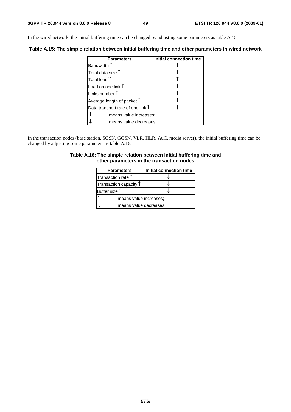In the wired network, the initial buffering time can be changed by adjusting some parameters as table A.15.

**Table A.15: The simple relation between initial buffering time and other parameters in wired network** 

| <b>Parameters</b>                          | Initial connection time |  |  |
|--------------------------------------------|-------------------------|--|--|
| Bandwidth $\uparrow$                       |                         |  |  |
| Total data size $\uparrow$                 |                         |  |  |
| Total load $\uparrow$                      |                         |  |  |
| Load on one link 1                         |                         |  |  |
| Links number $\uparrow$                    |                         |  |  |
| Average length of packet $\uparrow$        |                         |  |  |
| Data transport rate of one link $\uparrow$ |                         |  |  |
| means value increases;                     |                         |  |  |
| means value decreases.                     |                         |  |  |

In the transaction nodes (base station, SGSN, GGSN, VLR, HLR, AuC, media server), the initial buffering time can be changed by adjusting some parameters as table A.16.

#### **Table A.16: The simple relation between initial buffering time and other parameters in the transaction nodes**

| <b>Parameters</b>               | Initial connection time |  |  |  |
|---------------------------------|-------------------------|--|--|--|
| Transaction rate $\uparrow$     |                         |  |  |  |
| Transaction capacity $\uparrow$ |                         |  |  |  |
| Buffer size $\uparrow$          |                         |  |  |  |
|                                 | means value increases;  |  |  |  |
| means value decreases.          |                         |  |  |  |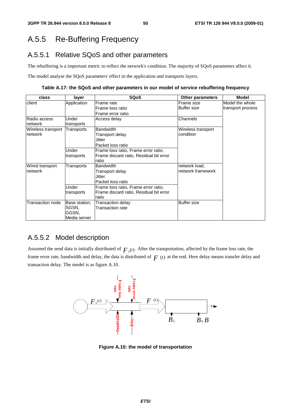## A.5.5 Re-Buffering Frequency

### A.5.5.1 Relative SQoS and other parameters

The rebuffering is a important metric to reflect the network's condition. The majority of SQoS parameters affect it.

The model analyse the SQoS parameters' effect in the application and transports layers.

**Table A.17: the SQoS and other parameters in our model of service rebuffering frequency** 

| class              | layer         | <b>SQoS</b>                             | <b>Other parameters</b> | <b>Model</b>      |
|--------------------|---------------|-----------------------------------------|-------------------------|-------------------|
| client             | Application   | Frame rate                              | Model the whole         |                   |
|                    |               | Frame loss ratio                        | <b>Buffer size</b>      | transport process |
|                    |               | Frame error ratio                       |                         |                   |
| Radio access       | Under         | Access delay                            | Channels                |                   |
| network            | transports    |                                         |                         |                   |
| Wireless transport | Transports    | <b>Bandwidth</b><br>Wireless transport  |                         |                   |
| network            |               | Transport delay                         | condition               |                   |
|                    |               | Jitter                                  |                         |                   |
|                    |               | Packet loss ratio                       |                         |                   |
|                    | Under         | Frame loss ratio, Frame error ratio,    |                         |                   |
|                    | transports    | Frame discard ratio, Residual bit error |                         |                   |
|                    |               | ratio                                   |                         |                   |
| Wired transport    | Transports    | <b>Bandwidth</b>                        | network load,           |                   |
| network            |               | Transport delay                         | network framework       |                   |
|                    |               | Jitter                                  |                         |                   |
|                    |               | Packet loss ratio                       |                         |                   |
|                    | Under         | Frame loss ratio, Frame error ratio,    |                         |                   |
|                    | transports    | Frame discard ratio, Residual bit error |                         |                   |
|                    |               | ratio                                   |                         |                   |
| Transaction node   | Base station, | Transaction delay                       | <b>Buffer size</b>      |                   |
|                    | SGSN.         | Transaction rate                        |                         |                   |
|                    | GGSN,         |                                         |                         |                   |
|                    | Media server  |                                         |                         |                   |

### A.5.5.2 Model description

Assumed the send data is initially distributed of  $F_0(t)$ . After the transportation, affected by the frame loss rate, the frame error rate, bandwidth and delay, the data is distributed of  $F(t)$  at the end. Here delay means transfer delay and transaction delay. The model is as figure A.10.



**Figure A.10: the model of transportation**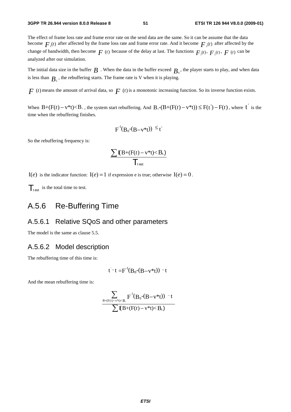The effect of frame loss rate and frame error rate on the send data are the same. So it can be assume that the data become  $F_{\mu}(t)$  after affected by the frame loss rate and frame error rate. And it become  $F_{\mu}(t)$  after affected by the change of bandwidth, then become  $F(t)$  because of the delay at last. The functions  $F_1(t)$ ,  $F_2(t)$ ,  $F(t)$  can be analyzed after our simulation.

The initial data size in the buffer  $B$ . When the data in the buffer exceed  $B_0$ , the player starts to play, and when data is less than  $B<sub>i</sub>$ , the rebuffering starts. The frame rate is V when it is playing.

 $F(t)$  means the amount of arrival data, so  $F(t)$  is a monotonic increasing function. So its inverse function exists.

When  $B+(F(t)-v^*t) < B_+$ , the system start rebuffering. And  $B_0-(B+(F(t)-v^*t)) \leq F(t')-F(t)$ , where  $t'$  is the time when the rebuffering finishes.

$$
F^{-1}(B_0-(B-v^*t)) \leq t'
$$

So the rebuffering frequency is:

$$
\frac{\sum \mathbf{I}(B+(F(t)-v^*t)
$$

 $I(e)$  is the indicator function:  $I(e) = 1$  if expression e is true; otherwise  $I(e) = 0$ .

 $\mathcal{T}_{\text{test}}$  is the total time to test.

## A.5.6 Re-Buffering Time

#### A.5.6.1 Relative SQoS and other parameters

The model is the same as clause 5.5.

### A.5.6.2 Model description

The rebuffering time of this time is:

$$
t^-t = F^{-1}(B_0-(B-v^*t)) - t
$$

And the mean rebuffering time is:

$$
\frac{\displaystyle\sum_{B+(F(t)-v^*t)
$$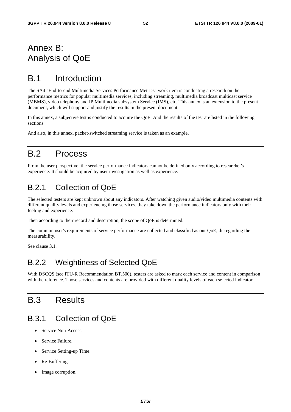## Annex B: Analysis of QoE

## B.1 Introduction

The SA4 "End-to-end Multimedia Services Performance Metrics" work item is conducting a research on the performance metrics for popular multimedia services, including streaming, multimedia broadcast multicast service (MBMS), video telephony and IP Multimedia subsystem Service (IMS), etc. This annex is an extension to the present document, which will support and justify the results in the present document.

In this annex, a subjective test is conducted to acquire the QoE. And the results of the test are listed in the following sections.

And also, in this annex, packet-switched streaming service is taken as an example.

## B.2 Process

From the user perspective, the service performance indicators cannot be defined only according to researcher's experience. It should be acquired by user investigation as well as experience.

## B.2.1 Collection of QoE

The selected testers are kept unknown about any indicators. After watching given audio/video multimedia contents with different quality levels and experiencing those services, they take down the performance indicators only with their feeling and experience.

Then according to their record and description, the scope of QoE is determined.

The common user's requirements of service performance are collected and classified as our QoE, disregarding the measurability.

See clause 3.1.

## B.2.2 Weightiness of Selected QoE

With DSCQS (see ITU-R Recommendation BT.500), testers are asked to mark each service and content in comparison with the reference. Those services and contents are provided with different quality levels of each selected indicator.

## B.3 Results

## B.3.1 Collection of QoE

- Service Non-Access.
- Service Failure.
- Service Setting-up Time.
- Re-Buffering.
- Image corruption.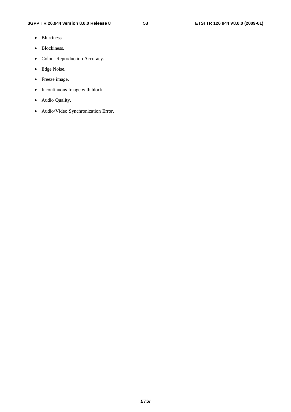- Blurriness.
- Blockiness.
- Colour Reproduction Accuracy.
- Edge Noise.
- Freeze image.
- Incontinuous Image with block.
- Audio Quality.
- Audio/Video Synchronization Error.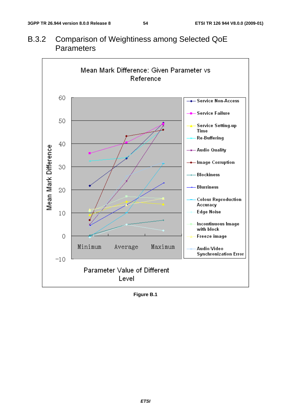## B.3.2 Comparison of Weightiness among Selected QoE **Parameters**



**Figure B.1**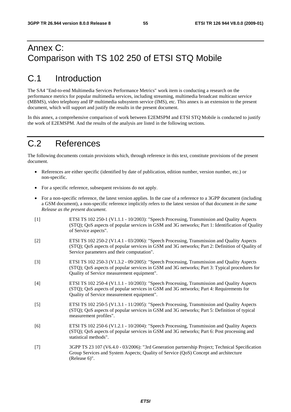## Annex C: Comparison with TS 102 250 of ETSI STQ Mobile

## C.1 Introduction

The SA4 "End-to-end Multimedia Services Performance Metrics" work item is conducting a research on the performance metrics for popular multimedia services, including streaming, multimedia broadcast multicast service (MBMS), video telephony and IP multimedia subsystem service (IMS), etc. This annex is an extension to the present document, which will support and justify the results in the present document.

In this annex, a comprehensive comparison of work between E2EMSPM and ETSI STQ Mobile is conducted to justify the work of E2EMSPM. And the results of the analysis are listed in the following sections.

## C.2 References

The following documents contain provisions which, through reference in this text, constitute provisions of the present document.

- References are either specific (identified by date of publication, edition number, version number, etc.) or non-specific.
- For a specific reference, subsequent revisions do not apply.
- For a non-specific reference, the latest version applies. In the case of a reference to a 3GPP document (including a GSM document), a non-specific reference implicitly refers to the latest version of that document *in the same Release as the present document*.
- [1] ETSI TS 102 250-1 (V1.1.1 10/2003): "Speech Processing, Transmission and Quality Aspects (STQ); QoS aspects of popular services in GSM and 3G networks; Part 1: Identification of Quality of Service aspects".
- [2] ETSI TS 102 250-2 (V1.4.1 03/2006): "Speech Processing, Transmission and Quality Aspects (STQ); QoS aspects of popular services in GSM and 3G networks; Part 2: Definition of Quality of Service parameters and their computation".
- [3] ETSI TS 102 250-3 (V1.3.2 09/2005): "Speech Processing, Transmission and Quality Aspects (STQ); QoS aspects of popular services in GSM and 3G networks; Part 3: Typical procedures for Quality of Service measurement equipment".
- [4] ETSI TS 102 250-4 (V1.1.1 10/2003): "Speech Processing, Transmission and Quality Aspects (STQ); QoS aspects of popular services in GSM and 3G networks; Part 4: Requirements for Quality of Service measurement equipment".
- [5] ETSI TS 102 250-5 (V1.3.1 11/2005): "Speech Processing, Transmission and Quality Aspects (STQ); QoS aspects of popular services in GSM and 3G networks; Part 5: Definition of typical measurement profiles".
- [6] ETSI TS 102 250-6 (V1.2.1 10/2004): "Speech Processing, Transmission and Quality Aspects (STQ); QoS aspects of popular services in GSM and 3G networks; Part 6: Post processing and statistical methods".
- [7] 3GPP TS 23 107 (V6.4.0 03/2006): "3rd Generation partnership Project; Technical Specification Group Services and System Aspects; Quality of Service (QoS) Concept and architecture (Release 6)".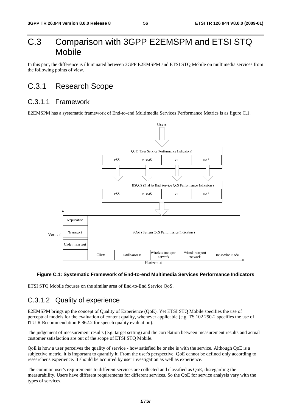## C.3 Comparison with 3GPP E2EMSPM and ETSI STQ Mobile

In this part, the difference is illuminated between 3GPP E2EMSPM and ETSI STQ Mobile on multimedia services from the following points of view.

## C.3.1 Research Scope

### C.3.1.1 Framework

E2EMSPM has a systematic framework of End-to-end Multimedia Services Performance Metrics is as figure C.1.



#### **Figure C.1: Systematic Framework of End-to-end Multimedia Services Performance Indicators**

ETSI STQ Mobile focuses on the similar area of End-to-End Service QoS.

## C.3.1.2 Quality of experience

Client Radio access Horizontal<br>
Horizontal<br>
Horizontal<br>
imilar area of End-to-End Service QoS.<br> **Clience**<br> **Clience**<br> **Clience**<br> **Clience**<br> **Clience**<br> **Clience**<br> **Clience**<br> **Clience**<br> **Clience**<br> **Clience**<br> **Clience**<br> **Clie** International<br>**Transferience**<br>The correl<br>and correl<br>and correl<br>and correl<br>and correl<br>Supply 2011<br>and correl<br>Supply 2013<br>Supply 2013<br>Supply 2013<br>Supply 2013<br>Supply 2013<br>Supply 2013<br>Supply 2013<br>Supply 2013<br>Supply 2013<br>Supply The Mobile strategy and the services Perture of the service of the service control of the service cannot be a service of the service of the service of the service of the service of the service of the service of the service network<br>
ices Performance Indi<br>
IS 102 250-2 specifies th<br>
rean measurement results<br>
the service. Although Qo<br>
innot be defined only acc<br>
rience.<br>
s QoE, disregarding the<br>
l' for service analysis vary E2EMSPM brings up the concept of Quality of Experience (QoE). Yet ETSI STQ Mobile specifies the use of perceptual models for the evaluation of content quality, whenever applicable (e.g. TS 102 250-2 specifies the use of ITU-R Recommendation P.862.2 for speech quality evaluation).

The judgement of measurement results (e.g. target setting) and the correlation between measurement results and actual customer satisfaction are out of the scope of ETSI STQ Mobile.

QoE is how a user perceives the quality of service - how satisfied he or she is with the service. Although QoE is a subjective metric, it is important to quantify it. From the user's perspective, QoE cannot be defined only according to researcher's experience. It should be acquired by user investigation as well as experience.

The common user's requirements to different services are collected and classified as QoE, disregarding the measurability. Users have different requirements for different services. So the QoE for service analysis vary with the types of services.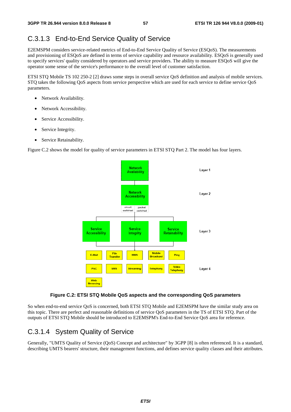## C.3.1.3 End-to-End Service Quality of Service

E2EMSPM considers service-related metrics of End-to-End Service Quality of Service (ESQoS). The measurements and provisioning of ESQoS are defined in terms of service capability and resource availability. ESQoS is generally used to specify services' quality considered by operators and service providers. The ability to measure ESQoS will give the operator some sense of the service's performance to the overall level of customer satisfaction.

ETSI STQ Mobile TS 102 250-2 [2] draws some steps in overall service QoS definition and analysis of mobile services. STQ takes the following QoS aspects from service perspective which are used for each service to define service QoS parameters.

- Network Availability.
- Network Accessibility.
- Service Accessibility.
- Service Integrity.
- Service Retainability.

Figure C.2 shows the model for quality of service parameters in ETSI STQ Part 2. The model has four layers.



#### **Figure C.2: ETSI STQ Mobile QoS aspects and the corresponding QoS parameters**

So when end-to-end service QoS is concerned, both ETSI STQ Mobile and E2EMSPM have the similar study area on this topic. There are perfect and reasonable definitions of service QoS parameters in the TS of ETSI STQ. Part of the outputs of ETSI STQ Mobile should be introduced to E2EMSPM's End-to-End Service QoS area for reference.

### C.3.1.4 System Quality of Service

Generally, "UMTS Quality of Service (QoS) Concept and architecture" by 3GPP [8] is often referenced. It is a standard, describing UMTS bearers' structure, their management functions, and defines service quality classes and their attributes.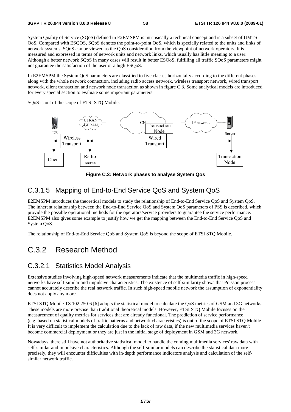System Quality of Service (SQoS) defined in E2EMSPM is intrinsically a technical concept and is a subset of UMTS QoS. Compared with ESQOS, SQoS denotes the point-to-point QoS, which is specially related to the units and links of network systems. SQoS can be viewed as the QoS consideration from the viewpoint of network operators. It is measured and expressed in terms of network units and network links, which usually has little meaning to a user. Although a better network SQoS in many cases will result in better ESQoS, fulfilling all traffic SQoS parameters might not guarantee the satisfaction of the user or a high ESQoS.

In E2EMSPM the System QoS parameters are classified to five classes horizontally according to the different phases along with the whole network connection, including radio access network, wireless transport network, wired transport network, client transaction and network node transaction as shown in figure C.3. Some analytical models are introduced for every special section to evaluate some important parameters.

SQoS is out of the scope of ETSI STQ Mobile.



**Figure C.3: Network phases to analyse System Qos** 

### C.3.1.5 Mapping of End-to-End Service QoS and System QoS

E2EMSPM introduces the theoretical models to study the relationship of End-to-End Service QoS and System QoS. The inherent relationship between the End-to-End Service QoS and System QoS parameters of PSS is described, which provide the possible operational methods for the operators/service providers to guarantee the service performance. E2EMSPM also gives some example to justify how we get the mapping between the End-to-End Service QoS and System QoS.

The relationship of End-to-End Service QoS and System QoS is beyond the scope of ETSI STQ Mobile.

## C.3.2 Research Method

### C.3.2.1 Statistics Model Analysis

Extensive studies involving high-speed network measurements indicate that the multimedia traffic in high-speed networks have self-similar and impulsive characteristics. The existence of self-similarity shows that Poisson process cannot accurately describe the real network traffic. In such high-speed mobile network the assumption of exponentiality does not apply any more.

ETSI STQ Mobile TS 102 250-6 [6] adopts the statistical model to calculate the QoS metrics of GSM and 3G networks. These models are more precise than traditional theoretical models. However, ETSI STQ Mobile focuses on the measurement of quality metrics for services that are already functional. The prediction of service performance (e.g. based on statistical models of traffic patterns and network characteristics) is out of the scope of ETSI STQ Mobile. It is very difficult to implement the calculation due to the lack of raw data, if the new multimedia services haven't become commercial deployment or they are just in the initial stage of deployment in GSM and 3G network.

Nowadays, there still have not authoritative statistical model to handle the coming multimedia services' raw data with self-similar and impulsive characteristics. Although the self-similar models can describe the statistical data more precisely, they will encounter difficulties with in-depth performance indicators analysis and calculation of the selfsimilar network traffic.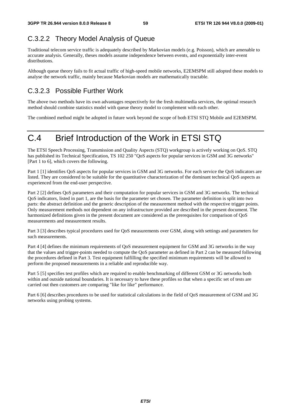## C.3.2.2 Theory Model Analysis of Queue

Traditional telecom service traffic is adequately described by Markovian models (e.g. Poisson), which are amenable to accurate analysis. Generally, theses models assume independence between events, and exponentially inter-event distributions.

Although queue theory fails to fit actual traffic of high-speed mobile networks, E2EMSPM still adopted these models to analyse the network traffic, mainly because Markovian models are mathematically tractable.

## C.3.2.3 Possible Further Work

The above two methods have its own advantages respectively for the fresh multimedia services, the optimal research method should combine statistics model with queue theory model to complement with each other.

The combined method might be adopted in future work beyond the scope of both ETSI STQ Mobile and E2EMSPM.

## C.4 Brief Introduction of the Work in ETSI STQ

The ETSI Speech Processing, Transmission and Quality Aspects (STQ) workgroup is actively working on QoS. STQ has published its Technical Specification, TS 102 250 "QoS aspects for popular services in GSM and 3G networks" [Part 1 to 6], which covers the following.

Part 1 [1] identifies QoS aspects for popular services in GSM and 3G networks. For each service the QoS indicators are listed. They are considered to be suitable for the quantitative characterization of the dominant technical QoS aspects as experienced from the end-user perspective.

Part 2 [2] defines QoS parameters and their computation for popular services in GSM and 3G networks. The technical QoS indicators, listed in part 1, are the basis for the parameter set chosen. The parameter definition is split into two parts: the abstract definition and the generic description of the measurement method with the respective trigger points. Only measurement methods not dependent on any infrastructure provided are described in the present document. The harmonized definitions given in the present document are considered as the prerequisites for comparison of QoS measurements and measurement results.

Part 3 [3] describes typical procedures used for QoS measurements over GSM, along with settings and parameters for such measurements.

Part 4 [4] defines the minimum requirements of QoS measurement equipment for GSM and 3G networks in the way that the values and trigger-points needed to compute the QoS parameter as defined in Part 2 can be measured following the procedures defined in Part 3. Test equipment fulfilling the specified minimum requirements will be allowed to perform the proposed measurements in a reliable and reproducible way.

Part 5 [5] specifies test profiles which are required to enable benchmarking of different GSM or 3G networks both within and outside national boundaries. It is necessary to have these profiles so that when a specific set of tests are carried out then customers are comparing "like for like" performance.

Part 6 [6] describes procedures to be used for statistical calculations in the field of QoS measurement of GSM and 3G networks using probing systems.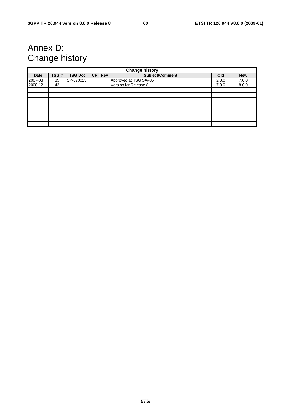## Annex D: Change history

| <b>Change history</b> |      |                 |  |          |                       |       |            |
|-----------------------|------|-----------------|--|----------|-----------------------|-------|------------|
| <b>Date</b>           | TSG# | <b>TSG Doc.</b> |  | CR   Rev | Subject/Comment       | Old   | <b>New</b> |
| 2007-03               | 35   | SP-070015       |  |          | Approved at TSG SA#35 | 2.0.0 | 7.0.0      |
| 2008-12               | 42   |                 |  |          | Version for Release 8 | 7.0.0 | 8.0.0      |
|                       |      |                 |  |          |                       |       |            |
|                       |      |                 |  |          |                       |       |            |
|                       |      |                 |  |          |                       |       |            |
|                       |      |                 |  |          |                       |       |            |
|                       |      |                 |  |          |                       |       |            |
|                       |      |                 |  |          |                       |       |            |
|                       |      |                 |  |          |                       |       |            |
|                       |      |                 |  |          |                       |       |            |